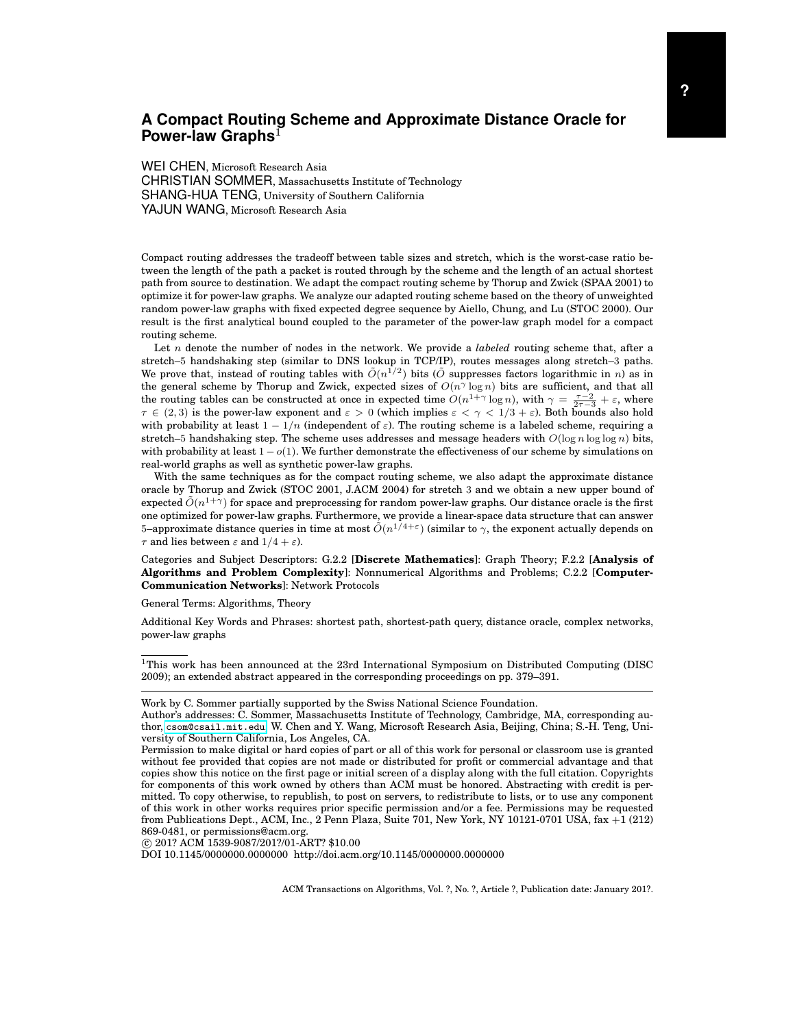<span id="page-0-0"></span>WEI CHEN, Microsoft Research Asia CHRISTIAN SOMMER, Massachusetts Institute of Technology SHANG-HUA TENG, University of Southern California YAJUN WANG, Microsoft Research Asia

Compact routing addresses the tradeoff between table sizes and stretch, which is the worst-case ratio between the length of the path a packet is routed through by the scheme and the length of an actual shortest path from source to destination. We adapt the compact routing scheme by Thorup and Zwick (SPAA 2001) to optimize it for power-law graphs. We analyze our adapted routing scheme based on the theory of unweighted random power-law graphs with fixed expected degree sequence by Aiello, Chung, and Lu (STOC 2000). Our result is the first analytical bound coupled to the parameter of the power-law graph model for a compact routing scheme.

Let n denote the number of nodes in the network. We provide a *labeled* routing scheme that, after a stretch–5 handshaking step (similar to DNS lookup in TCP/IP), routes messages along stretch–3 paths. We prove that, instead of routing tables with  $\tilde{O}(n^{1/2})$  bits ( $\tilde{O}$  suppresses factors logarithmic in n) as in the general scheme by Thorup and Zwick, expected sizes of  $O(n^{\gamma} \log n)$  bits are sufficient, and that all the routing tables can be constructed at once in expected time  $O(n^{1+\gamma} \log n)$ , with  $\gamma = \frac{\tau-2}{2\tau-3} + \varepsilon$ , where  $\tau \in (2,3)$  is the power-law exponent and  $\varepsilon > 0$  (which implies  $\varepsilon < \gamma < 1/3 + \varepsilon$ ). Both bounds also hold with probability at least  $1 - 1/n$  (independent of  $\varepsilon$ ). The routing scheme is a labeled scheme, requiring a stretch–5 handshaking step. The scheme uses addresses and message headers with  $O(\log n \log \log n)$  bits, with probability at least  $1 - o(1)$ . We further demonstrate the effectiveness of our scheme by simulations on real-world graphs as well as synthetic power-law graphs.

With the same techniques as for the compact routing scheme, we also adapt the approximate distance oracle by Thorup and Zwick (STOC 2001, J.ACM 2004) for stretch 3 and we obtain a new upper bound of expected  $\tilde{O}(n^{1+\gamma})$  for space and preprocessing for random power-law graphs. Our distance oracle is the first one optimized for power-law graphs. Furthermore, we provide a linear-space data structure that can answer 5–approximate distance queries in time at most  $\tilde{O}(n^{1/4+\varepsilon})$  (similar to  $\gamma$ , the exponent actually depends on  $\tau$  and lies between  $\varepsilon$  and  $1/4 + \varepsilon$ ).

Categories and Subject Descriptors: G.2.2 [**Discrete Mathematics**]: Graph Theory; F.2.2 [**Analysis of Algorithms and Problem Complexity**]: Nonnumerical Algorithms and Problems; C.2.2 [**Computer-Communication Networks**]: Network Protocols

General Terms: Algorithms, Theory

Additional Key Words and Phrases: shortest path, shortest-path query, distance oracle, complex networks, power-law graphs

<sup>1</sup>This work has been announced at the 23rd International Symposium on Distributed Computing (DISC 2009); an extended abstract appeared in the corresponding proceedings on pp. 379–391.

c 201? ACM 1539-9087/201?/01-ART? \$10.00

DOI 10.1145/0000000.0000000 http://doi.acm.org/10.1145/0000000.0000000

Work by C. Sommer partially supported by the Swiss National Science Foundation.

Author's addresses: C. Sommer, Massachusetts Institute of Technology, Cambridge, MA, corresponding author, <csom@csail.mit.edu>; W. Chen and Y. Wang, Microsoft Research Asia, Beijing, China; S.-H. Teng, University of Southern California, Los Angeles, CA.

Permission to make digital or hard copies of part or all of this work for personal or classroom use is granted without fee provided that copies are not made or distributed for profit or commercial advantage and that copies show this notice on the first page or initial screen of a display along with the full citation. Copyrights for components of this work owned by others than ACM must be honored. Abstracting with credit is permitted. To copy otherwise, to republish, to post on servers, to redistribute to lists, or to use any component of this work in other works requires prior specific permission and/or a fee. Permissions may be requested from Publications Dept., ACM, Inc., 2 Penn Plaza, Suite 701, New York, NY 10121-0701 USA, fax +1 (212) 869-0481, or permissions@acm.org.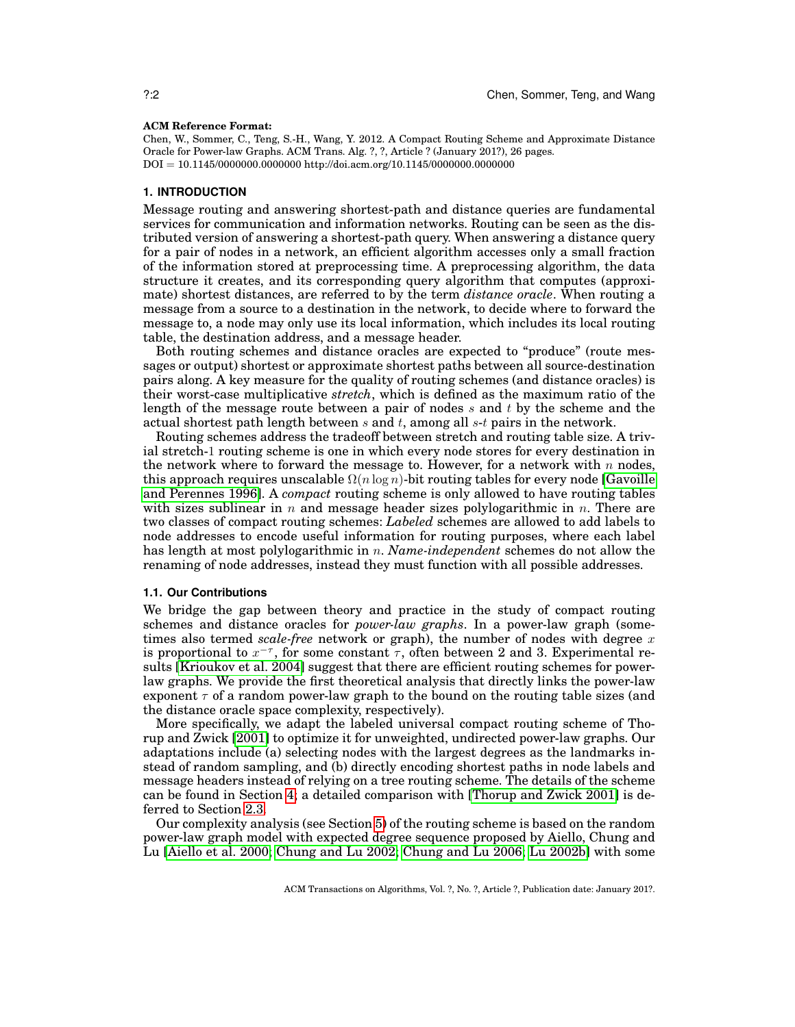#### **ACM Reference Format:**

Chen, W., Sommer, C., Teng, S.-H., Wang, Y. 2012. A Compact Routing Scheme and Approximate Distance Oracle for Power-law Graphs. ACM Trans. Alg. ?, ?, Article ? (January 201?), 26 pages. DOI = 10.1145/0000000.0000000 http://doi.acm.org/10.1145/0000000.0000000

## **1. INTRODUCTION**

Message routing and answering shortest-path and distance queries are fundamental services for communication and information networks. Routing can be seen as the distributed version of answering a shortest-path query. When answering a distance query for a pair of nodes in a network, an efficient algorithm accesses only a small fraction of the information stored at preprocessing time. A preprocessing algorithm, the data structure it creates, and its corresponding query algorithm that computes (approximate) shortest distances, are referred to by the term *distance oracle*. When routing a message from a source to a destination in the network, to decide where to forward the message to, a node may only use its local information, which includes its local routing table, the destination address, and a message header.

Both routing schemes and distance oracles are expected to "produce" (route messages or output) shortest or approximate shortest paths between all source-destination pairs along. A key measure for the quality of routing schemes (and distance oracles) is their worst-case multiplicative *stretch*, which is defined as the maximum ratio of the length of the message route between a pair of nodes  $s$  and  $t$  by the scheme and the actual shortest path length between  $s$  and  $t$ , among all  $s$ -t pairs in the network.

Routing schemes address the tradeoff between stretch and routing table size. A trivial stretch-1 routing scheme is one in which every node stores for every destination in the network where to forward the message to. However, for a network with  $n$  nodes, this approach requires unscalable  $\Omega(n \log n)$ -bit routing tables for every node [\[Gavoille](#page-24-0) [and Perennes 1996\]](#page-24-0). A *compact* routing scheme is only allowed to have routing tables with sizes sublinear in n and message header sizes polylogarithmic in n. There are two classes of compact routing schemes: *Labeled* schemes are allowed to add labels to node addresses to encode useful information for routing purposes, where each label has length at most polylogarithmic in n. *Name-independent* schemes do not allow the renaming of node addresses, instead they must function with all possible addresses.

#### **1.1. Our Contributions**

We bridge the gap between theory and practice in the study of compact routing schemes and distance oracles for *power-law graphs*. In a power-law graph (sometimes also termed *scale-free* network or graph), the number of nodes with degree x is proportional to  $x^{-\tau}$ , for some constant  $\tau$ , often between 2 and 3. Experimental results [\[Krioukov et al. 2004\]](#page-25-0) suggest that there are efficient routing schemes for powerlaw graphs. We provide the first theoretical analysis that directly links the power-law exponent  $\tau$  of a random power-law graph to the bound on the routing table sizes (and the distance oracle space complexity, respectively).

More specifically, we adapt the labeled universal compact routing scheme of Thorup and Zwick [\[2001\]](#page-25-1) to optimize it for unweighted, undirected power-law graphs. Our adaptations include (a) selecting nodes with the largest degrees as the landmarks instead of random sampling, and (b) directly encoding shortest paths in node labels and message headers instead of relying on a tree routing scheme. The details of the scheme can be found in Section [4;](#page-7-0) a detailed comparison with [\[Thorup and Zwick 2001\]](#page-25-1) is deferred to Section [2.3.](#page-4-0)

Our complexity analysis (see Section [5\)](#page-10-0) of the routing scheme is based on the random power-law graph model with expected degree sequence proposed by Aiello, Chung and Lu [\[Aiello et al. 2000;](#page-24-1) [Chung and Lu 2002;](#page-24-2) [Chung and Lu 2006;](#page-24-3) [Lu 2002b\]](#page-25-2) with some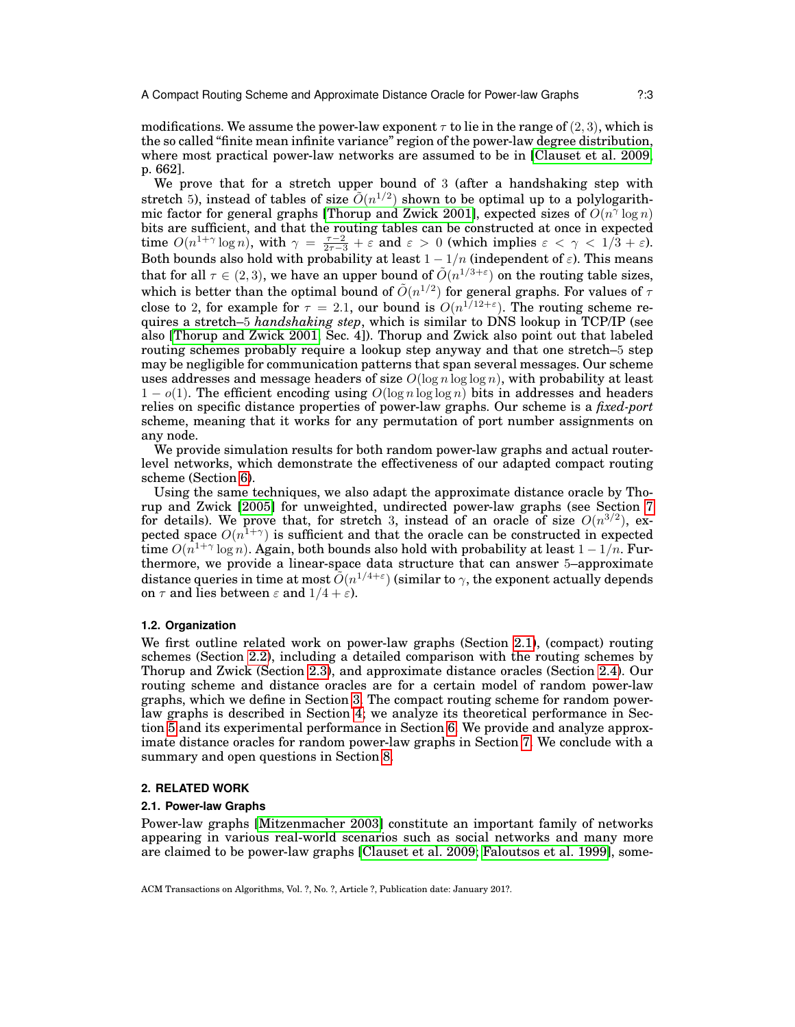modifications. We assume the power-law exponent  $\tau$  to lie in the range of (2, 3), which is the so called "finite mean infinite variance" region of the power-law degree distribution, where most practical power-law networks are assumed to be in [\[Clauset et al. 2009,](#page-24-4) p. 662].

We prove that for a stretch upper bound of 3 (after a handshaking step with stretch 5), instead of tables of size  $O(n^{1/2})$  shown to be optimal up to a polylogarith-mic factor for general graphs [\[Thorup and Zwick 2001\]](#page-25-1), expected sizes of  $O(n^{\gamma} \log n)$ bits are sufficient, and that the routing tables can be constructed at once in expected time  $O(n^{1+\gamma} \log n)$ , with  $\gamma = \frac{\tau-2}{2\tau-3} + \varepsilon$  and  $\varepsilon > 0$  (which implies  $\varepsilon < \gamma < 1/3 + \varepsilon$ ). Both bounds also hold with probability at least  $1 - 1/n$  (independent of  $\varepsilon$ ). This means that for all  $\tau \in (2,3)$ , we have an upper bound of  $\tilde{O}(n^{1/3+\varepsilon})$  on the routing table sizes, which is better than the optimal bound of  $\tilde{O}(n^{1/2})$  for general graphs. For values of  $\tau$ close to 2, for example for  $\tau = 2.1$ , our bound is  $O(n^{1/12+\epsilon})$ . The routing scheme requires a stretch–5 *handshaking step*, which is similar to DNS lookup in TCP/IP (see also [\[Thorup and Zwick 2001,](#page-25-1) Sec. 4]). Thorup and Zwick also point out that labeled routing schemes probably require a lookup step anyway and that one stretch–5 step may be negligible for communication patterns that span several messages. Our scheme uses addresses and message headers of size  $O(\log n \log \log n)$ , with probability at least  $1 - o(1)$ . The efficient encoding using  $O(\log n \log \log n)$  bits in addresses and headers relies on specific distance properties of power-law graphs. Our scheme is a *fixed-port* scheme, meaning that it works for any permutation of port number assignments on any node.

We provide simulation results for both random power-law graphs and actual routerlevel networks, which demonstrate the effectiveness of our adapted compact routing scheme (Section [6\)](#page-17-0).

Using the same techniques, we also adapt the approximate distance oracle by Thorup and Zwick [\[2005\]](#page-25-3) for unweighted, undirected power-law graphs (see Section [7](#page-20-0) for details). We prove that, for stretch 3, instead of an oracle of size  $O(n^{3/2})$ , expected space  $O(n^{1+\gamma})$  is sufficient and that the oracle can be constructed in expected time  $O(n^{1+\gamma}\log n)$ . Again, both bounds also hold with probability at least  $1-1/n$ . Furthermore, we provide a linear-space data structure that can answer 5–approximate distance queries in time at most  $\tilde{O}(n^{1/4+\varepsilon})$  (similar to  $\gamma$ , the exponent actually depends on  $\tau$  and lies between  $\varepsilon$  and  $1/4 + \varepsilon$ ).

## **1.2. Organization**

We first outline related work on power-law graphs (Section [2.1\)](#page-2-0), (compact) routing schemes (Section [2.2\)](#page-3-0), including a detailed comparison with the routing schemes by Thorup and Zwick (Section [2.3\)](#page-4-0), and approximate distance oracles (Section [2.4\)](#page-5-0). Our routing scheme and distance oracles are for a certain model of random power-law graphs, which we define in Section [3.](#page-6-0) The compact routing scheme for random powerlaw graphs is described in Section [4;](#page-7-0) we analyze its theoretical performance in Section [5](#page-10-0) and its experimental performance in Section [6.](#page-17-0) We provide and analyze approximate distance oracles for random power-law graphs in Section [7.](#page-20-0) We conclude with a summary and open questions in Section [8.](#page-23-0)

#### <span id="page-2-1"></span>**2. RELATED WORK**

#### <span id="page-2-0"></span>**2.1. Power-law Graphs**

Power-law graphs [\[Mitzenmacher 2003\]](#page-25-4) constitute an important family of networks appearing in various real-world scenarios such as social networks and many more are claimed to be power-law graphs [\[Clauset et al. 2009;](#page-24-4) [Faloutsos et al. 1999\]](#page-24-5), some-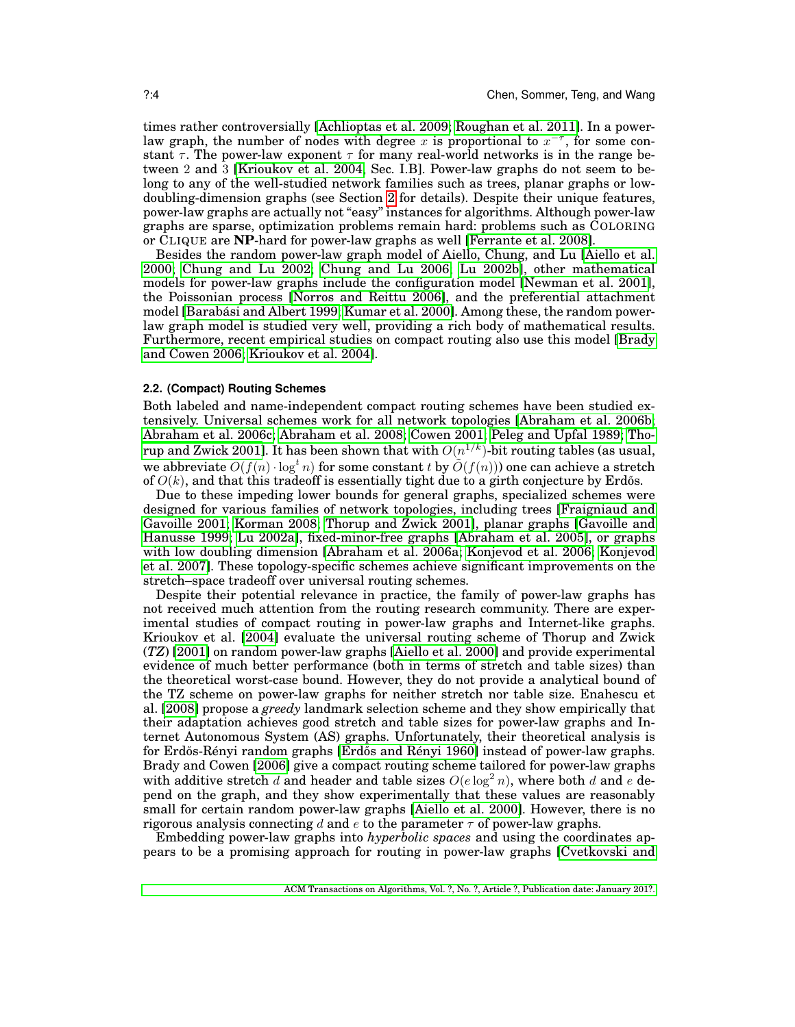times rather controversially [\[Achlioptas et al. 2009;](#page-23-1) [Roughan et al. 2011\]](#page-25-5). In a powerlaw graph, the number of nodes with degree x is proportional to  $x^{-\tau}$ , for some constant  $\tau$ . The power-law exponent  $\tau$  for many real-world networks is in the range between 2 and 3 [\[Krioukov et al. 2004,](#page-25-0) Sec. I.B]. Power-law graphs do not seem to belong to any of the well-studied network families such as trees, planar graphs or lowdoubling-dimension graphs (see Section [2](#page-2-1) for details). Despite their unique features, power-law graphs are actually not "easy" instances for algorithms. Although power-law graphs are sparse, optimization problems remain hard: problems such as COLORING or CLIQUE are **NP**-hard for power-law graphs as well [\[Ferrante et al. 2008\]](#page-24-6).

Besides the random power-law graph model of Aiello, Chung, and Lu [\[Aiello et al.](#page-24-1) [2000;](#page-24-1) [Chung and Lu 2002;](#page-24-2) [Chung and Lu 2006;](#page-24-3) [Lu 2002b\]](#page-25-2), other mathematical models for power-law graphs include the configuration model [\[Newman et al. 2001\]](#page-25-6), the Poissonian process [\[Norros and Reittu 2006\]](#page-25-7), and the preferential attachment model [Barabási and Albert 1999; [Kumar et al. 2000\]](#page-25-8). Among these, the random powerlaw graph model is studied very well, providing a rich body of mathematical results. Furthermore, recent empirical studies on compact routing also use this model [\[Brady](#page-24-8) [and Cowen 2006;](#page-24-8) [Krioukov et al. 2004\]](#page-25-0).

#### <span id="page-3-0"></span>**2.2. (Compact) Routing Schemes**

Both labeled and name-independent compact routing schemes have been studied extensively. Universal schemes work for all network topologies [\[Abraham et al. 2006b;](#page-23-2) [Abraham et al. 2006c;](#page-23-3) [Abraham et al. 2008;](#page-23-4) [Cowen 2001;](#page-24-9) [Peleg and Upfal 1989;](#page-25-9) [Tho](#page-25-1)[rup and Zwick 2001\]](#page-25-1). It has been shown that with  $\tilde{O}(n^{1/k})$ -bit routing tables (as usual, we abbreviate  $O(f(n) \cdot \log^t n)$  for some constant t by  $\tilde{O}(f(n))$  one can achieve a stretch of  $O(k)$ , and that this tradeoff is essentially tight due to a girth conjecture by Erdős.

Due to these impeding lower bounds for general graphs, specialized schemes were designed for various families of network topologies, including trees [\[Fraigniaud and](#page-24-10) [Gavoille 2001;](#page-24-10) [Korman 2008;](#page-24-11) [Thorup and Zwick 2001\]](#page-25-1), planar graphs [\[Gavoille and](#page-24-12) [Hanusse 1999;](#page-24-12) [Lu 2002a\]](#page-25-10), fixed-minor-free graphs [\[Abraham et al. 2005\]](#page-23-5), or graphs with low doubling dimension [\[Abraham et al. 2006a;](#page-23-6) [Konjevod et al. 2006;](#page-24-13) [Konjevod](#page-24-14) [et al. 2007\]](#page-24-14). These topology-specific schemes achieve significant improvements on the stretch–space tradeoff over universal routing schemes.

Despite their potential relevance in practice, the family of power-law graphs has not received much attention from the routing research community. There are experimental studies of compact routing in power-law graphs and Internet-like graphs. Krioukov et al. [\[2004\]](#page-25-0) evaluate the universal routing scheme of Thorup and Zwick (*TZ*) [\[2001\]](#page-25-1) on random power-law graphs [\[Aiello et al. 2000\]](#page-24-1) and provide experimental evidence of much better performance (both in terms of stretch and table sizes) than the theoretical worst-case bound. However, they do not provide a analytical bound of the TZ scheme on power-law graphs for neither stretch nor table size. Enahescu et al. [\[2008\]](#page-24-15) propose a *greedy* landmark selection scheme and they show empirically that their adaptation achieves good stretch and table sizes for power-law graphs and Internet Autonomous System (AS) graphs. Unfortunately, their theoretical analysis is for Erdős-Rényi random graphs [Erdős and Rényi 1960] instead of power-law graphs. Brady and Cowen [\[2006\]](#page-24-8) give a compact routing scheme tailored for power-law graphs with additive stretch d and header and table sizes  $O(e \log^2 n)$ , where both d and e depend on the graph, and they show experimentally that these values are reasonably small for certain random power-law graphs [\[Aiello et al. 2000\]](#page-24-1). However, there is no rigorous analysis connecting d and e to the parameter  $\tau$  of power-law graphs.

Embedding power-law graphs into *hyperbolic spaces* and using the coordinates appears to be a promising approach for routing in power-law graphs [\[Cvetkovski and](#page-24-17)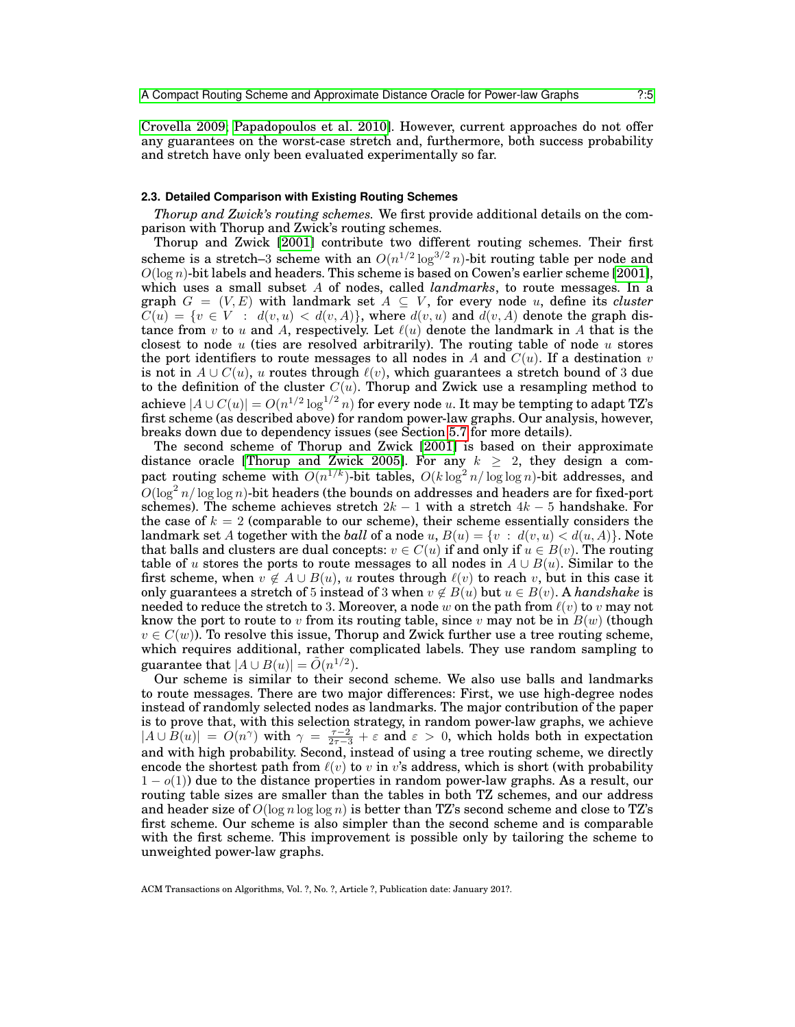[Crovella 2009;](#page-24-17) [Papadopoulos et al. 2010\]](#page-25-11). However, current approaches do not offer any guarantees on the worst-case stretch and, furthermore, both success probability and stretch have only been evaluated experimentally so far.

## <span id="page-4-0"></span>**2.3. Detailed Comparison with Existing Routing Schemes**

*Thorup and Zwick's routing schemes.* We first provide additional details on the comparison with Thorup and Zwick's routing schemes.

Thorup and Zwick [\[2001\]](#page-25-1) contribute two different routing schemes. Their first scheme is a stretch-3 scheme with an  $O(n^{1/2} \log^{3/2} n)$ -bit routing table per node and  $O(\log n)$ -bit labels and headers. This scheme is based on Cowen's earlier scheme [\[2001\]](#page-24-9), which uses a small subset A of nodes, called *landmarks*, to route messages. In a graph  $G = (V, E)$  with landmark set  $A \subseteq V$ , for every node u, define its *cluster*  $C(u) = \{v \in V : d(v, u) < d(v, A)\}\$ , where  $d(v, u)$  and  $d(v, A)$  denote the graph distance from v to u and A, respectively. Let  $\ell(u)$  denote the landmark in A that is the closest to node  $u$  (ties are resolved arbitrarily). The routing table of node  $u$  stores the port identifiers to route messages to all nodes in A and  $C(u)$ . If a destination v is not in  $A \cup C(u)$ , u routes through  $\ell(v)$ , which guarantees a stretch bound of 3 due to the definition of the cluster  $C(u)$ . Thorup and Zwick use a resampling method to achieve  $|A\cup C(u)|=O(n^{1/2}\log^{1/2}n)$  for every node u. It may be tempting to adapt TZ's first scheme (as described above) for random power-law graphs. Our analysis, however, breaks down due to dependency issues (see Section [5.7](#page-17-1) for more details).

The second scheme of Thorup and Zwick [\[2001\]](#page-25-1) is based on their approximate distance oracle [\[Thorup and Zwick 2005\]](#page-25-3). For any  $k \geq 2$ , they design a compact routing scheme with  $\tilde{O}(n^{1/k})$ -bit tables,  $O(k \log^2 n / \log \log n)$ -bit addresses, and  $O(\log^2 n/\log\log n)$ -bit headers (the bounds on addresses and headers are for fixed-port schemes). The scheme achieves stretch  $2k - 1$  with a stretch  $4k - 5$  handshake. For the case of  $k = 2$  (comparable to our scheme), their scheme essentially considers the landmark set A together with the *ball* of a node u,  $B(u) = \{v : d(v, u) < d(u, A)\}\$ . Note that balls and clusters are dual concepts:  $v \in C(u)$  if and only if  $u \in B(v)$ . The routing table of u stores the ports to route messages to all nodes in  $A \cup B(u)$ . Similar to the first scheme, when  $v \notin A \cup B(u)$ , u routes through  $\ell(v)$  to reach v, but in this case it only guarantees a stretch of 5 instead of 3 when  $v \notin B(u)$  but  $u \in B(v)$ . A *handshake* is needed to reduce the stretch to 3. Moreover, a node w on the path from  $\ell(v)$  to v may not know the port to route to v from its routing table, since v may not be in  $B(w)$  (though  $v \in C(w)$ ). To resolve this issue, Thorup and Zwick further use a tree routing scheme, which requires additional, rather complicated labels. They use random sampling to guarantee that  $|A \cup B(u)| = \tilde{O}(n^{1/2}).$ 

Our scheme is similar to their second scheme. We also use balls and landmarks to route messages. There are two major differences: First, we use high-degree nodes instead of randomly selected nodes as landmarks. The major contribution of the paper is to prove that, with this selection strategy, in random power-law graphs, we achieve  $|A \cup \overline{B}(u)| = O(n^{\gamma})$  with  $\gamma = \frac{\tau-2}{2\tau-3} + \varepsilon$  and  $\varepsilon > 0$ , which holds both in expectation and with high probability. Second, instead of using a tree routing scheme, we directly encode the shortest path from  $\ell(v)$  to v in v's address, which is short (with probability  $1 - o(1)$  due to the distance properties in random power-law graphs. As a result, our routing table sizes are smaller than the tables in both TZ schemes, and our address and header size of  $O(\log n \log \log n)$  is better than TZ's second scheme and close to TZ's first scheme. Our scheme is also simpler than the second scheme and is comparable with the first scheme. This improvement is possible only by tailoring the scheme to unweighted power-law graphs.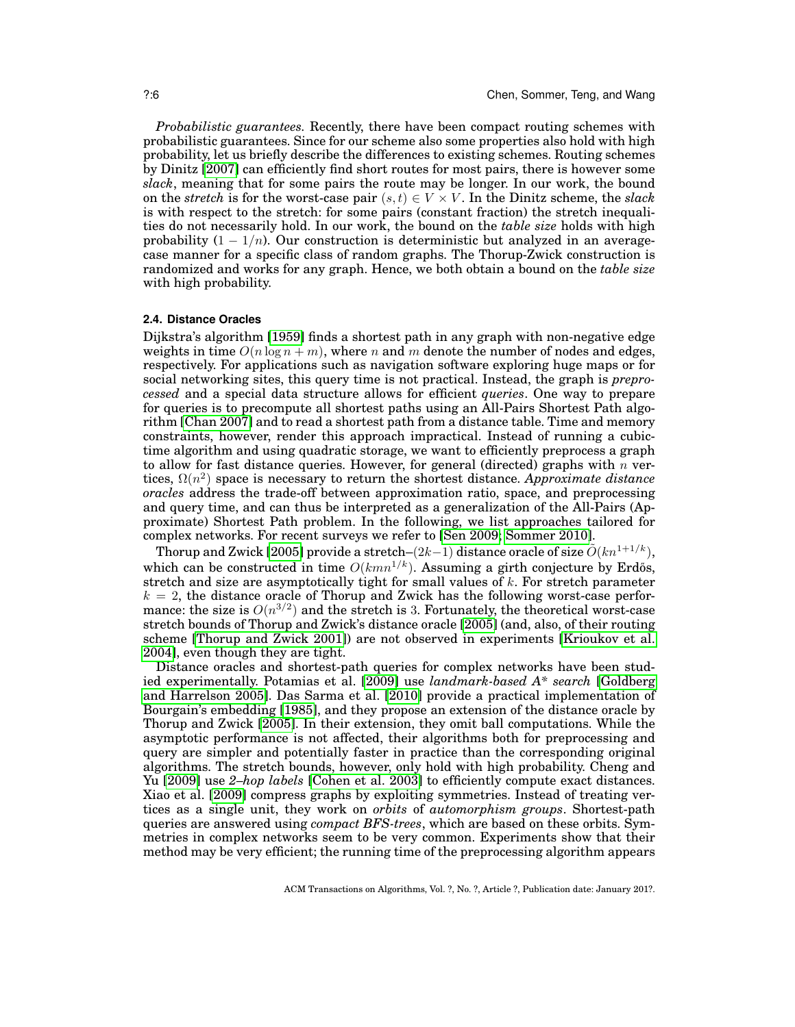*Probabilistic guarantees.* Recently, there have been compact routing schemes with probabilistic guarantees. Since for our scheme also some properties also hold with high probability, let us briefly describe the differences to existing schemes. Routing schemes by Dinitz [\[2007\]](#page-24-18) can efficiently find short routes for most pairs, there is however some *slack*, meaning that for some pairs the route may be longer. In our work, the bound on the *stretch* is for the worst-case pair  $(s, t) \in V \times V$ . In the Dinitz scheme, the *slack* is with respect to the stretch: for some pairs (constant fraction) the stretch inequalities do not necessarily hold. In our work, the bound on the *table size* holds with high probability  $(1 - 1/n)$ . Our construction is deterministic but analyzed in an averagecase manner for a specific class of random graphs. The Thorup-Zwick construction is randomized and works for any graph. Hence, we both obtain a bound on the *table size* with high probability.

## <span id="page-5-0"></span>**2.4. Distance Oracles**

Dijkstra's algorithm [\[1959\]](#page-24-19) finds a shortest path in any graph with non-negative edge weights in time  $O(n \log n + m)$ , where n and m denote the number of nodes and edges, respectively. For applications such as navigation software exploring huge maps or for social networking sites, this query time is not practical. Instead, the graph is *preprocessed* and a special data structure allows for efficient *queries*. One way to prepare for queries is to precompute all shortest paths using an All-Pairs Shortest Path algorithm [\[Chan 2007\]](#page-24-20) and to read a shortest path from a distance table. Time and memory constraints, however, render this approach impractical. Instead of running a cubictime algorithm and using quadratic storage, we want to efficiently preprocess a graph to allow for fast distance queries. However, for general (directed) graphs with  $n$  vertices,  $\Omega(n^2)$  space is necessary to return the shortest distance. Approximate distance *oracles* address the trade-off between approximation ratio, space, and preprocessing and query time, and can thus be interpreted as a generalization of the All-Pairs (Approximate) Shortest Path problem. In the following, we list approaches tailored for complex networks. For recent surveys we refer to [\[Sen 2009;](#page-25-12) [Sommer 2010\]](#page-25-13).

Thorup and Zwick [\[2005\]](#page-25-3) provide a stretch–(2k–1) distance oracle of size  $\tilde{O}(kn^{1+1/k})$ , which can be constructed in time  $O(kmn^{1/k})$ . Assuming a girth conjecture by Erdős, stretch and size are asymptotically tight for small values of k. For stretch parameter  $k = 2$ , the distance oracle of Thorup and Zwick has the following worst-case performance: the size is  $O(n^{3/2})$  and the stretch is 3. Fortunately, the theoretical worst-case stretch bounds of Thorup and Zwick's distance oracle [\[2005\]](#page-25-3) (and, also, of their routing scheme [\[Thorup and Zwick 2001\]](#page-25-1)) are not observed in experiments [\[Krioukov et al.](#page-25-0) [2004\]](#page-25-0), even though they are tight.

Distance oracles and shortest-path queries for complex networks have been studied experimentally. Potamias et al. [\[2009\]](#page-25-14) use *landmark-based A\* search* [\[Goldberg](#page-24-21) [and Harrelson 2005\]](#page-24-21). Das Sarma et al. [\[2010\]](#page-25-15) provide a practical implementation of Bourgain's embedding [\[1985\]](#page-24-22), and they propose an extension of the distance oracle by Thorup and Zwick [\[2005\]](#page-25-3). In their extension, they omit ball computations. While the asymptotic performance is not affected, their algorithms both for preprocessing and query are simpler and potentially faster in practice than the corresponding original algorithms. The stretch bounds, however, only hold with high probability. Cheng and Yu [\[2009\]](#page-24-23) use *2–hop labels* [\[Cohen et al. 2003\]](#page-24-24) to efficiently compute exact distances. Xiao et al. [\[2009\]](#page-25-16) compress graphs by exploiting symmetries. Instead of treating vertices as a single unit, they work on *orbits* of *automorphism groups*. Shortest-path queries are answered using *compact BFS-trees*, which are based on these orbits. Symmetries in complex networks seem to be very common. Experiments show that their method may be very efficient; the running time of the preprocessing algorithm appears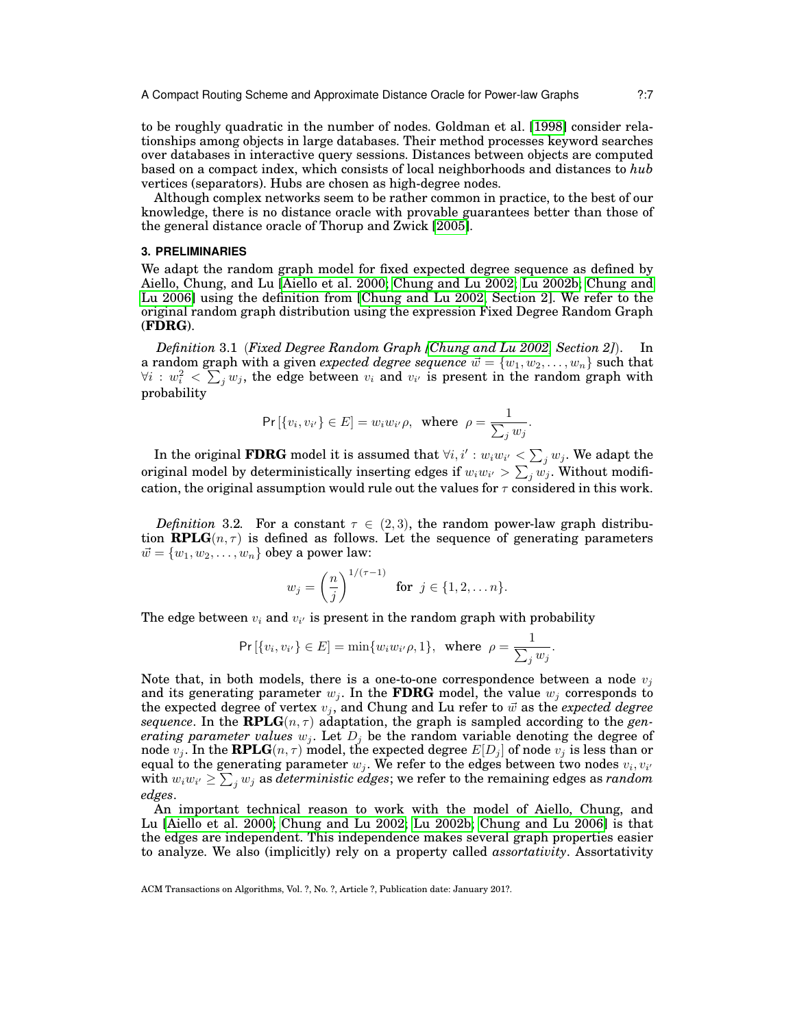to be roughly quadratic in the number of nodes. Goldman et al. [\[1998\]](#page-24-25) consider relationships among objects in large databases. Their method processes keyword searches over databases in interactive query sessions. Distances between objects are computed based on a compact index, which consists of local neighborhoods and distances to *hub* vertices (separators). Hubs are chosen as high-degree nodes.

Although complex networks seem to be rather common in practice, to the best of our knowledge, there is no distance oracle with provable guarantees better than those of the general distance oracle of Thorup and Zwick [\[2005\]](#page-25-3).

### <span id="page-6-0"></span>**3. PRELIMINARIES**

We adapt the random graph model for fixed expected degree sequence as defined by Aiello, Chung, and Lu [\[Aiello et al. 2000;](#page-24-1) [Chung and Lu 2002;](#page-24-2) [Lu 2002b;](#page-25-2) [Chung and](#page-24-3) [Lu 2006\]](#page-24-3) using the definition from [\[Chung and Lu 2002,](#page-24-2) Section 2]. We refer to the original random graph distribution using the expression Fixed Degree Random Graph (**FDRG**).

*Definition* 3.1 (*Fixed Degree Random Graph [\[Chung and Lu 2002,](#page-24-2) Section 2]*). In a random graph with a given *expected degree sequence*  $\vec{w} = \{w_1, w_2, \dots, w_n\}$  such that  $\forall i: w_i^2 < \sum_j w_j$ , the edge between  $v_i$  and  $v_{i'}$  is present in the random graph with probability

$$
\Pr\left[\{v_i, v_{i'}\} \in E\right] = w_i w_{i'} \rho, \text{ where } \rho = \frac{1}{\sum_j w_j}.
$$

In the original  $\bf FDRG$  model it is assumed that  $\forall i,i': w_iw_{i'} < \sum_j w_j.$  We adapt the original model by deterministically inserting edges if  $w_iw_{i'} > \sum_j w_j$ . Without modification, the original assumption would rule out the values for  $\tau$  considered in this work.

<span id="page-6-1"></span>*Definition* 3.2. For a constant  $\tau \in (2,3)$ , the random power-law graph distribution **RPLG** $(n, \tau)$  is defined as follows. Let the sequence of generating parameters  $\vec{w} = \{w_1, w_2, \dots, w_n\}$  obey a power law:

$$
w_j = \left(\frac{n}{j}\right)^{1/(\tau-1)} \quad \text{for } j \in \{1, 2, \dots n\}.
$$

The edge between  $v_i$  and  $v_{i'}$  is present in the random graph with probability

$$
\Pr\left[\{v_i, v_{i'}\} \in E\right] = \min\{w_i w_{i'} \rho, 1\}, \text{ where } \rho = \frac{1}{\sum_j w_j}.
$$

Note that, in both models, there is a one-to-one correspondence between a node  $v_i$ and its generating parameter  $w_i$ . In the **FDRG** model, the value  $w_i$  corresponds to the expected degree of vertex  $v_j$ , and Chung and Lu refer to  $\vec{w}$  as the *expected degree sequence*. In the **RPLG** $(n, \tau)$  adaptation, the graph is sampled according to the *generating parameter values*  $w_i$ . Let  $D_i$  be the random variable denoting the degree of node  $v_j$ . In the **RPLG** $(n, \tau)$  model, the expected degree  $E[D_j]$  of node  $v_j$  is less than or equal to the generating parameter  $w_j$ . We refer to the edges between two nodes  $v_i, v_{i'}$  with  $w_i w_{i'} \ge \sum_j w_j$  as *deterministic edges*; we refer to the remaining edges as *random edges*.

An important technical reason to work with the model of Aiello, Chung, and Lu [\[Aiello et al. 2000;](#page-24-1) [Chung and Lu 2002;](#page-24-2) [Lu 2002b;](#page-25-2) [Chung and Lu 2006\]](#page-24-3) is that the edges are independent. This independence makes several graph properties easier to analyze. We also (implicitly) rely on a property called *assortativity*. Assortativity

ACM Transactions on Algorithms, Vol. ?, No. ?, Article ?, Publication date: January 201?.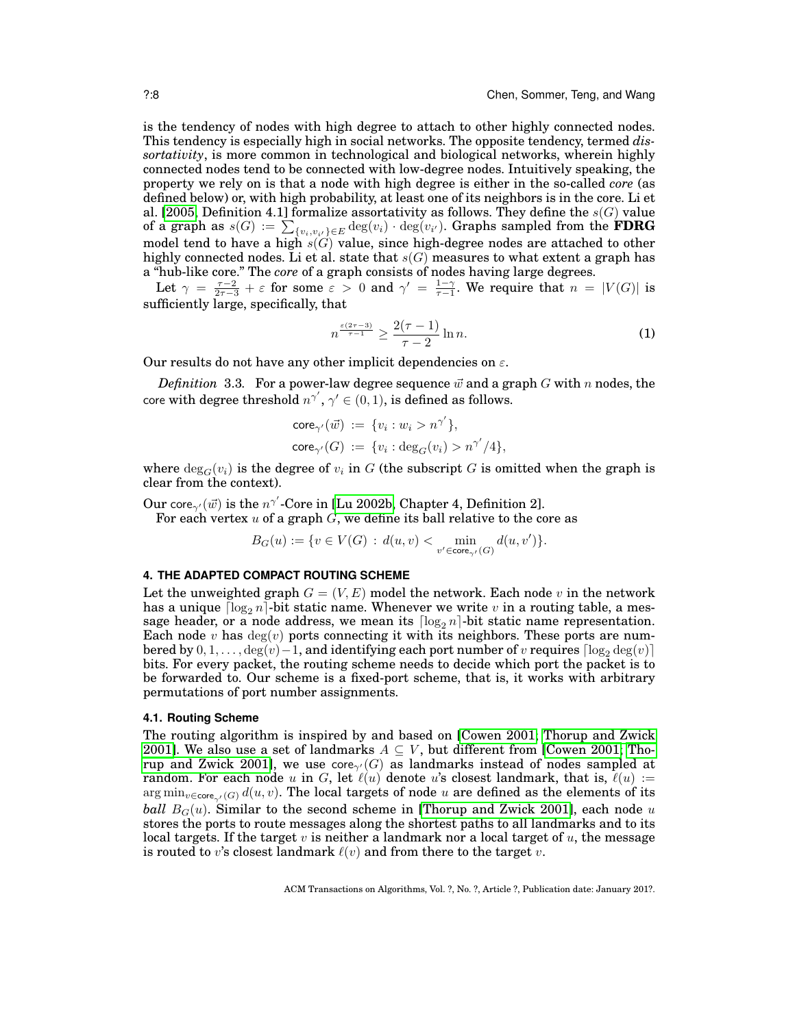is the tendency of nodes with high degree to attach to other highly connected nodes. This tendency is especially high in social networks. The opposite tendency, termed *dissortativity*, is more common in technological and biological networks, wherein highly connected nodes tend to be connected with low-degree nodes. Intuitively speaking, the property we rely on is that a node with high degree is either in the so-called *core* (as defined below) or, with high probability, at least one of its neighbors is in the core. Li et al. [\[2005,](#page-25-17) Definition 4.1] formalize assortativity as follows. They define the  $s(G)$  value of a graph as  $s(G) := \sum_{\{v_i, v_{i'}\} \in E} \deg(v_i) \cdot \deg(v_{i'}).$  Graphs sampled from the  $\bf FDRG$ model tend to have a high  $s(G)$  value, since high-degree nodes are attached to other highly connected nodes. Li et al. state that  $s(G)$  measures to what extent a graph has a "hub-like core." The *core* of a graph consists of nodes having large degrees.

Let  $\gamma = \frac{\tau-2}{2\tau-3} + \varepsilon$  for some  $\varepsilon > 0$  and  $\gamma' = \frac{1-\gamma}{\tau-1}$ . We require that  $n = |V(G)|$  is sufficiently large, specifically, that

<span id="page-7-1"></span>
$$
n^{\frac{\varepsilon(2\tau-3)}{\tau-1}} \ge \frac{2(\tau-1)}{\tau-2} \ln n. \tag{1}
$$

Our results do not have any other implicit dependencies on  $\varepsilon$ .

<span id="page-7-2"></span>*Definition* 3.3. For a power-law degree sequence  $\vec{w}$  and a graph G with n nodes, the core with degree threshold  $n^{\gamma'}, \gamma' \in (0,1)$ , is defined as follows.

$$
core_{\gamma'}(\vec{w}) := \{v_i : w_i > n^{\gamma'}\},
$$
  

$$
core_{\gamma'}(G) := \{v_i : deg_G(v_i) > n^{\gamma'}/4\},
$$

where  $\deg_G(v_i)$  is the degree of  $v_i$  in G (the subscript G is omitted when the graph is clear from the context).

Our core<sub>γ</sub>(*w*̄) is the  $n^{\gamma'}$ -Core in [\[Lu 2002b,](#page-25-2) Chapter 4, Definition 2]. For each vertex  $u$  of a graph  $G$ , we define its ball relative to the core as

$$
B_G(u) := \{ v \in V(G) \, : \, d(u,v) < \min_{v' \in \text{core}_{\gamma'}(G)} d(u,v') \}.
$$

#### <span id="page-7-0"></span>**4. THE ADAPTED COMPACT ROUTING SCHEME**

Let the unweighted graph  $G = (V, E)$  model the network. Each node v in the network has a unique  $\lceil \log_2 n \rceil$ -bit static name. Whenever we write v in a routing table, a message header, or a node address, we mean its  $\lceil \log_2 n \rceil$ -bit static name representation. Each node v has  $deg(v)$  ports connecting it with its neighbors. These ports are numbered by  $0, 1, \ldots$ ,  $\deg(v) - 1$ , and identifying each port number of v requires  $\lceil \log_2 \deg(v) \rceil$ bits. For every packet, the routing scheme needs to decide which port the packet is to be forwarded to. Our scheme is a fixed-port scheme, that is, it works with arbitrary permutations of port number assignments.

#### **4.1. Routing Scheme**

The routing algorithm is inspired by and based on [\[Cowen 2001;](#page-24-9) [Thorup and Zwick](#page-25-1) [2001\]](#page-25-1). We also use a set of landmarks  $A \subseteq V$ , but different from [\[Cowen 2001;](#page-24-9) [Tho](#page-25-1)[rup and Zwick 2001\]](#page-25-1), we use core $\gamma(G)$  as landmarks instead of nodes sampled at random. For each node u in G, let  $\ell(u)$  denote u's closest landmark, that is,  $\ell(u) :=$  $\arg \min_{v \in \text{core}_{\gamma}(G)} d(u, v)$ . The local targets of node u are defined as the elements of its *ball*  $B_G(u)$ . Similar to the second scheme in [\[Thorup and Zwick 2001\]](#page-25-1), each node u stores the ports to route messages along the shortest paths to all landmarks and to its local targets. If the target v is neither a landmark nor a local target of  $u$ , the message is routed to v's closest landmark  $\ell(v)$  and from there to the target v.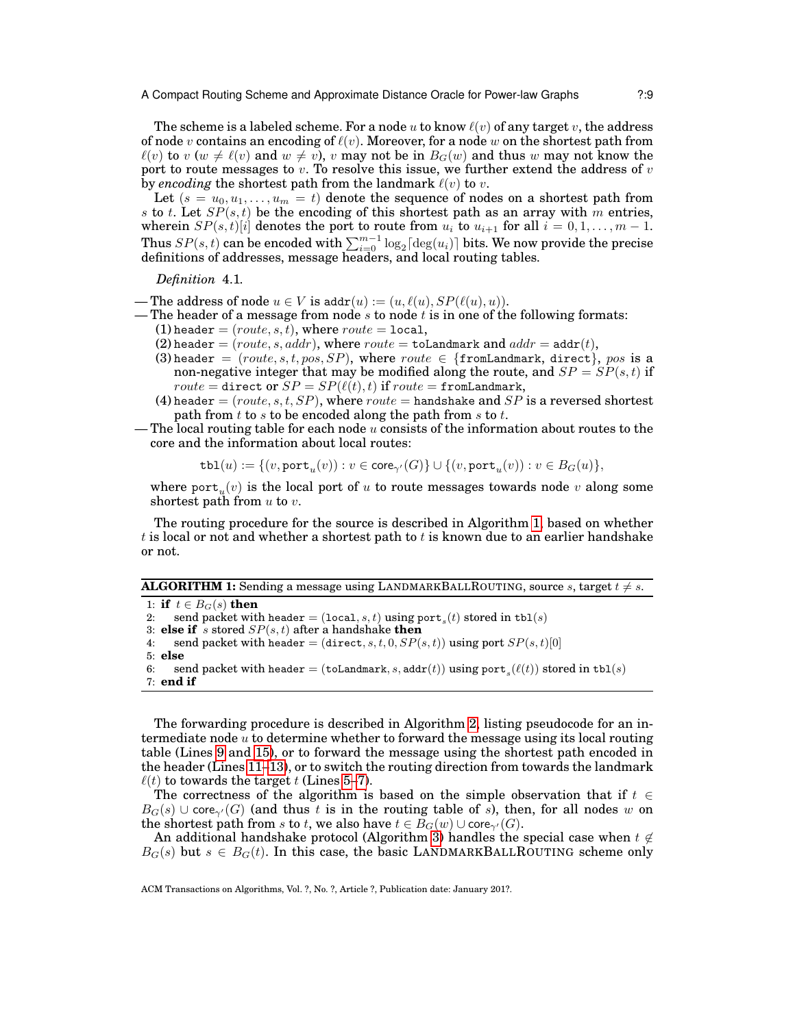The scheme is a labeled scheme. For a node u to know  $\ell(v)$  of any target v, the address of node v contains an encoding of  $\ell(v)$ . Moreover, for a node w on the shortest path from  $\ell(v)$  to  $v (w \neq \ell(v)$  and  $w \neq v)$ , v may not be in  $B_G(w)$  and thus w may not know the port to route messages to  $v$ . To resolve this issue, we further extend the address of  $v$ by *encoding* the shortest path from the landmark  $\ell(v)$  to v.

Let  $(s = u_0, u_1, \ldots, u_m = t)$  denote the sequence of nodes on a shortest path from s to t. Let  $SP(s, t)$  be the encoding of this shortest path as an array with m entries, wherein  $SP(s,t)[i]$  denotes the port to route from  $u_i$  to  $u_{i+1}$  for all  $i = 0,1,\ldots,m-1$ . Thus  $SP(s,t)$  can be encoded with  $\sum_{i=0}^{m-1} \log_2 \lceil \deg(u_i) \rceil$  bits. We now provide the precise definitions of addresses, message headers, and local routing tables.

*Definition* 4.1*.*

- The address of node  $u \in V$  is addr $(u) := (u, \ell(u), SP(\ell(u), u)).$
- The header of a message from node s to node t is in one of the following formats:
	- (1) header =  $(route, s, t)$ , where  $route = local$ ,
		- (2) header = (route, s, addr), where route = toLandmark and  $addr = addr(t)$ ,
		- (3) header = (route, s, t, pos, SP), where route  $\in$  {fromLandmark, direct}, pos is a non-negative integer that may be modified along the route, and  $SP = SP(s, t)$  if  $route = \text{direct or } SP = SP(\ell(t), t) \text{ if } route = \text{fromLandmark},$
		- (4) header = (route, s, t, SP), where route = handshake and SP is a reversed shortest path from  $t$  to  $s$  to be encoded along the path from  $s$  to  $t$ .
- The local routing table for each node  $u$  consists of the information about routes to the core and the information about local routes:

$$
\mathtt{tbl}(u) := \{(v, \mathtt{port}_u(v)) : v \in \mathsf{core}_{\gamma'}(G)\} \cup \{(v, \mathtt{port}_u(v)) : v \in B_G(u)\},
$$

where  $\text{port}_u(v)$  is the local port of  $u$  to route messages towards node  $v$  along some shortest path from  $u$  to  $v$ .

The routing procedure for the source is described in Algorithm [1,](#page-8-0) based on whether t is local or not and whether a shortest path to  $t$  is known due to an earlier handshake or not.

|  | <b>ALGORITHM 1:</b> Sending a message using LANDMARKBALLROUTING, source s, target $t \neq s$ . |  |
|--|------------------------------------------------------------------------------------------------|--|
|  |                                                                                                |  |

<span id="page-8-6"></span><span id="page-8-4"></span><span id="page-8-3"></span><span id="page-8-1"></span><span id="page-8-0"></span>1: **if**  $t \in B_G(s)$  **then** 2: send packet with header =  $(\texttt{local}, s, t)$  using port<sub>s</sub> $(t)$  stored in tbl $(s)$ 3: **else if** s stored  $SP(s, t)$  after a handshake **then** 4: send packet with header = (direct, s, t, 0,  $SP(s, t)$ ) using port  $SP(s, t)[0]$ 5: **else** 6: send packet with header =  $(\texttt{tolandmark}, s, \texttt{addr}(t))$  using  $\texttt{port}_s(\ell(t))$  stored in  $\texttt{tbl}(s)$ 7: **end if**

<span id="page-8-5"></span><span id="page-8-2"></span>The forwarding procedure is described in Algorithm [2,](#page-9-0) listing pseudocode for an intermediate node  $u$  to determine whether to forward the message using its local routing table (Lines [9](#page-9-1) and [15\)](#page-9-2), or to forward the message using the shortest path encoded in the header (Lines [11–](#page-9-3)[13\)](#page-9-4), or to switch the routing direction from towards the landmark  $\ell(t)$  to towards the target t (Lines [5–](#page-8-1)[7\)](#page-8-2).

The correctness of the algorithm is based on the simple observation that if  $t \in \mathbb{R}$  $B_G(s) \cup \text{core}_{\gamma'}(G)$  (and thus t is in the routing table of s), then, for all nodes w on the shortest path from s to t, we also have  $t \in B_G(w) \cup \text{core}_{\gamma'}(G)$ .

An additional handshake protocol (Algorithm [3\)](#page-9-5) handles the special case when  $t \notin$  $B_G(s)$  but  $s \in B_G(t)$ . In this case, the basic LANDMARKBALLROUTING scheme only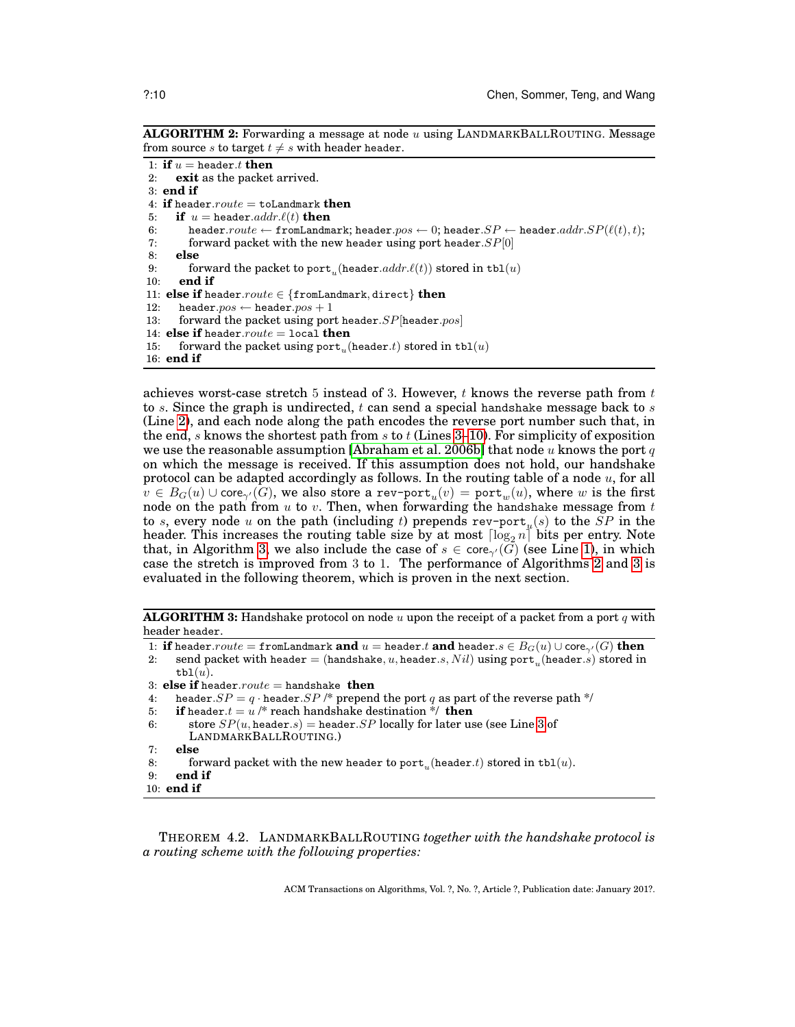**ALGORITHM 2:** Forwarding a message at node u using LANDMARKBALLROUTING. Message from source s to target  $t \neq s$  with header header.

```
1: if u = header.t then<br>2: exit as the packet
     exit as the packet arrived.
3: end if
4: if header.route = toLandmark then
5: if u = header.addr.\ell(t) then
6: header.route \leftarrow fromLandmark; header.pyos \leftarrow 0; header.SP \leftarrow header.addr.SP(\ell(t), t);7: forward packet with the new header using port header. SP[0]8: else
9: forward the packet to port<sub>u</sub> (header.addr.\ell(t)) stored in tbl(u)10: end if
11: else if header.route ∈ {fromLandmark, direct} then
12: header.pos \leftarrow header.pos + 113: forward the packet using port header. SP[header. pos]14: else if header.route = local then
15: forward the packet using \text{port}_u(\text{header}.t) stored in \text{tbl}(u)16: end if
```
<span id="page-9-6"></span><span id="page-9-4"></span><span id="page-9-3"></span><span id="page-9-2"></span>achieves worst-case stretch 5 instead of 3. However,  $t$  knows the reverse path from  $t$ to s. Since the graph is undirected,  $t$  can send a special handshake message back to  $s$ (Line [2\)](#page-8-3), and each node along the path encodes the reverse port number such that, in the end, s knows the shortest path from s to t (Lines [3](#page-8-4)[–10\)](#page-9-6). For simplicity of exposition we use the reasonable assumption [\[Abraham et al. 2006b\]](#page-23-2) that node u knows the port q on which the message is received. If this assumption does not hold, our handshake protocol can be adapted accordingly as follows. In the routing table of a node  $u$ , for all  $v\in B_G(u) \cup {\sf core}_{\gamma'}(G)$ , we also store a  ${\sf rev\text{-}port}_u(v)={\sf port}_w(u)$ , where  $w$  is the first node on the path from  $u$  to  $v$ . Then, when forwarding the handshake message from  $t$ to s, every node u on the path (including t) prepends  $\text{rev-port}_u(s)$  to the  $SP$  in the header. This increases the routing table size by at most  $\lceil \log_2 n \rceil$  bits per entry. Note that, in Algorithm [3,](#page-9-5) we also include the case of  $s \in \text{core}_{\gamma'}(\tilde{G})$  (see Line [1\)](#page-8-0), in which case the stretch is improved from 3 to 1. The performance of Algorithms [2](#page-9-0) and [3](#page-9-5) is evaluated in the following theorem, which is proven in the next section.

**ALGORITHM 3:** Handshake protocol on node u upon the receipt of a packet from a port q with header header.

<span id="page-9-5"></span>1: **if** header.route = fromLandmark **and**  $u =$  header.t **and** header.s  $\in B_G(u) \cup \text{core}_{\gamma'}(G)$  **then** 

2: send packet with header  $=$  (handshake,  $u$ , header. $s, Nil)$  using  $\text{port}_u(\text{header}.s)$  stored in  $\texttt{tbl}(u)$ .

- 3: **else if** header.route = handshake **then**
- 4: header. $SP = q \cdot \text{header}.SP$  /\* prepend the port q as part of the reverse path \*/<br>5: **if** header. $t = u$  /\* reach handshake destination \*/ **then**
- **if** header. $t = u^2$  /\* reach handshake destination \*/ **then**
- 6: store  $SP(u, \text{header}.s) = \text{header}.SP$  locally for later use (see Line [3](#page-8-4) of LANDMARKBALLROUTING.)
- 7: **else**
- 8: forward packet with the new header to  $\text{port}_u(\text{header}.t)$  stored in  $\text{tbl}(u)$ .
- 9: **end if**
- 10: **end if**

THEOREM 4.2. LANDMARKBALLROUTING *together with the handshake protocol is a routing scheme with the following properties:*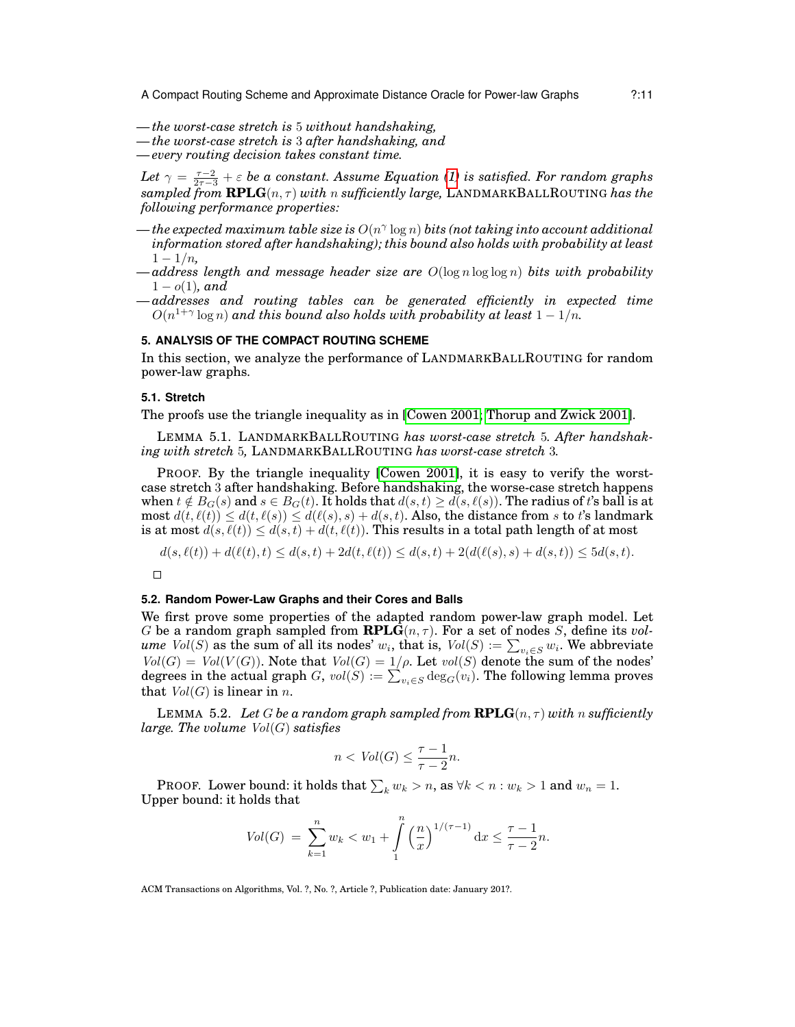- *— the worst-case stretch is* 5 *without handshaking,*
- *— the worst-case stretch is* 3 *after handshaking, and*
- *— every routing decision takes constant time.*

Let  $\gamma = \frac{\tau-2}{2\tau-3} + \varepsilon$  be a constant. Assume Equation [\(1\)](#page-7-1) is satisfied. For random graphs  $sampled$  *from*  $RPLG(n, \tau)$  *with* n *sufficiently large*, LANDMARKBALLROUTING has the *following performance properties:*

- *— the expected maximum table size is* O(n γ log n) *bits (not taking into account additional information stored after handshaking); this bound also holds with probability at least*  $1 - 1/n$ ,
- $\rightarrow$  *address length and message header size are*  $O(\log n \log \log n)$  *bits with probability*  $1 - o(1)$ *, and*
- *— addresses and routing tables can be generated efficiently in expected time*  $O(n^{1+\gamma}\log n)$  and this bound also holds with probability at least  $1-1/n$ .

### <span id="page-10-0"></span>**5. ANALYSIS OF THE COMPACT ROUTING SCHEME**

In this section, we analyze the performance of LANDMARKBALLROUTING for random power-law graphs.

## **5.1. Stretch**

The proofs use the triangle inequality as in [\[Cowen 2001;](#page-24-9) [Thorup and Zwick 2001\]](#page-25-1).

LEMMA 5.1. LANDMARKBALLROUTING *has worst-case stretch* 5*. After handshaking with stretch* 5*,* LANDMARKBALLROUTING *has worst-case stretch* 3*.*

PROOF. By the triangle inequality [\[Cowen 2001\]](#page-24-9), it is easy to verify the worstcase stretch 3 after handshaking. Before handshaking, the worse-case stretch happens when  $t \notin B_G(s)$  and  $s \in B_G(t)$ . It holds that  $d(s, t) \geq d(s, \ell(s))$ . The radius of t's ball is at most  $d(t, \ell(t)) \leq d(t, \ell(s)) \leq d(\ell(s), s) + d(s, t)$ . Also, the distance from s to t's landmark is at most  $d(s, \ell(t)) \leq d(s, t) + d(t, \ell(t))$ . This results in a total path length of at most

 $d(s, \ell(t)) + d(\ell(t), t) \leq d(s, t) + 2d(t, \ell(t)) \leq d(s, t) + 2(d(\ell(s), s) + d(s, t)) \leq 5d(s, t).$ 

 $\Box$ 

## **5.2. Random Power-Law Graphs and their Cores and Balls**

We first prove some properties of the adapted random power-law graph model. Let G be a random graph sampled from  $\mathbf{RPLG}(n, \tau)$ . For a set of nodes S, define its *vol*- $\mathit{ume\ Vol}(S)$  as the sum of all its nodes'  $w_i,$  that is,  $\mathit{Vol}(S):=\sum_{v_i\in S}w_i.$  We abbreviate  $Vol(G) = Vol(V(G))$ . Note that  $Vol(G) = 1/\rho$ . Let  $vol(S)$  denote the sum of the nodes' degrees in the actual graph  $G$ ,  $\mathit{vol}(S) := \sum_{v_i \in S} \deg_G(v_i).$  The following lemma proves that  $Vol(G)$  is linear in n.

<span id="page-10-1"></span>LEMMA 5.2. Let G be a random graph sampled from  $\mathbf{RPLG}(n, \tau)$  with n sufficiently *large. The volume* Vol(G) *satisfies*

$$
n < \text{Vol}(G) \le \frac{\tau - 1}{\tau - 2}n.
$$

**PROOF.** Lower bound: it holds that  $\sum_k w_k > n$ , as  $\forall k < n : w_k > 1$  and  $w_n = 1$ . Upper bound: it holds that

$$
Vol(G) = \sum_{k=1}^{n} w_k < w_1 + \int_{1}^{n} \left(\frac{n}{x}\right)^{1/(\tau-1)} \mathrm{d}x \le \frac{\tau-1}{\tau-2}n.
$$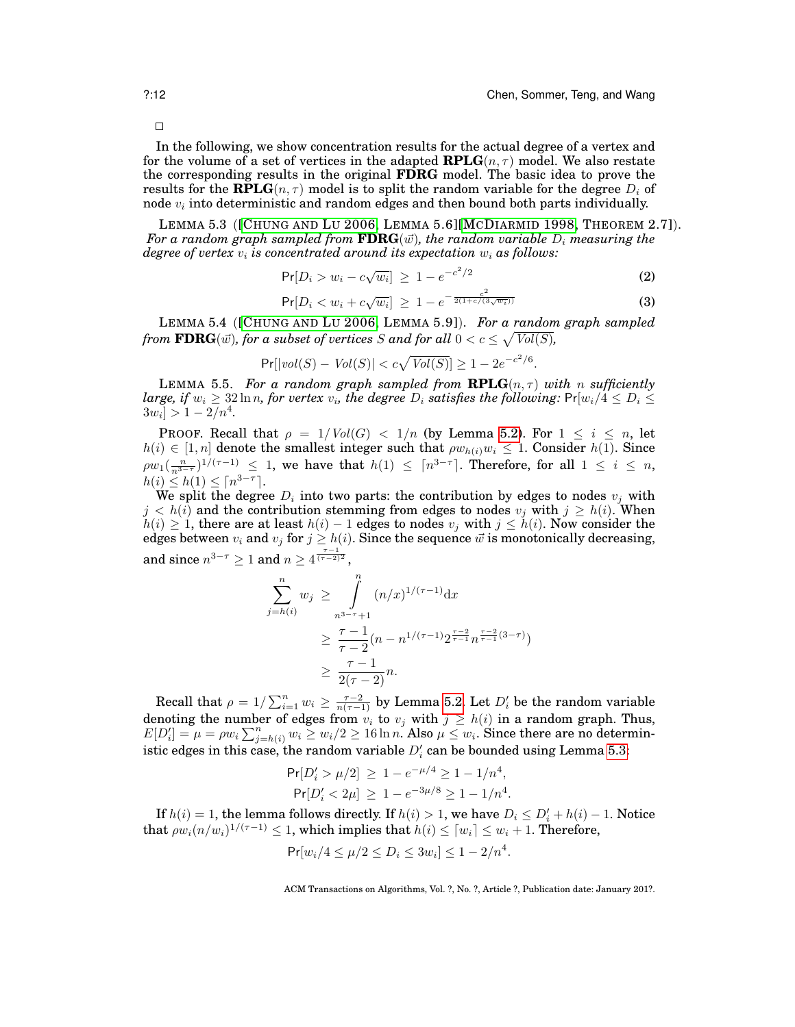In the following, we show concentration results for the actual degree of a vertex and for the volume of a set of vertices in the adapted  $\mathbf{RPLG}(n, \tau)$  model. We also restate the corresponding results in the original **FDRG** model. The basic idea to prove the results for the **RPLG** $(n, \tau)$  model is to split the random variable for the degree  $D_i$  of node  $v_i$  into deterministic and random edges and then bound both parts individually.

<span id="page-11-0"></span>LEMMA 5.3 ([C[HUNG AND](#page-24-3) LU 2006, LEMMA 5.6][MCD[IARMID](#page-25-18) 1998, THEOREM 2.7]). For a random graph sampled from  $\textbf{FDRG}(\vec{w})$ , the random variable  $D_i$  measuring the *degree of vertex*  $v_i$  *is concentrated around its expectation*  $w_i$  *as follows:* 

$$
Pr[D_i > w_i - c\sqrt{w_i}] \ge 1 - e^{-c^2/2}
$$
 (2)

$$
\Pr[D_i < w_i + c\sqrt{w_i}] \ge 1 - e^{-\frac{c^2}{2(1 + c/(3\sqrt{w_i}))}} \tag{3}
$$

<span id="page-11-2"></span>LEMMA 5.4 ([C[HUNG AND](#page-24-3) LU 2006, LEMMA 5.9]). *For a random graph sampled* from  $\mathbf{FDRG}(\vec{w})$ , for a subset of vertices  $S$  and for all  $0 < c \leq \sqrt{Vol(S)}$ ,

$$
Pr[|vol(S) - Vol(S)| < c\sqrt{Vol(S)}] \ge 1 - 2e^{-c^2/6}.
$$

<span id="page-11-1"></span>LEMMA 5.5. For a random graph sampled from  $\mathbf{RPLG}(n, \tau)$  with n sufficiently  $large,\, if\, w_i\geq 32\ln n,$  for vertex  $v_i$ , the degree  $D_i$  satisfies the following:  ${\sf Pr}[w_i/4\leq D_i\leq n]$  $3w_i$ ] > 1 - 2/n<sup>4</sup>.

PROOF. Recall that  $\rho = 1/Vol(G) < 1/n$  (by Lemma [5.2\)](#page-10-1). For  $1 \le i \le n$ , let  $h(i) \in [1, n]$  denote the smallest integer such that  $\rho w_{h(i)}w_i \leq 1$ . Consider  $h(1)$ . Since  $\rho w_1(\frac{n}{n^{3-\tau}})^{1/(\tau-1)} \leq 1$ , we have that  $h(1) \leq \lceil n^{3-\tau} \rceil$ . Therefore, for all  $1 \leq i \leq n$ ,  $h(i) \leq h(1) \leq \lceil n^{3-\tau} \rceil$ .

We split the degree  $D_i$  into two parts: the contribution by edges to nodes  $v_i$  with  $j < h(i)$  and the contribution stemming from edges to nodes  $v_j$  with  $j \ge h(i)$ . When  $h(i) \geq 1$ , there are at least  $h(i) - 1$  edges to nodes  $v_j$  with  $j \leq h(i)$ . Now consider the edges between  $v_i$  and  $v_j$  for  $j \geq h(i)$ . Since the sequence  $\vec{w}$  is monotonically decreasing, and since  $n^{3-\tau}\geq 1$  and  $n\geq 4^{\frac{\tau-1}{(\tau-2)^2}},$ 

$$
\sum_{j=h(i)}^{n} w_j \ge \int_{n^{3-\tau}+1}^{n} (n/x)^{1/(\tau-1)} dx
$$
  
 
$$
\ge \frac{\tau-1}{\tau-2} (n - n^{1/(\tau-1)} 2^{\frac{\tau-2}{\tau-1}} n^{\frac{\tau-2}{\tau-1}(3-\tau)})
$$
  
 
$$
\ge \frac{\tau-1}{2(\tau-2)} n.
$$

Recall that  $\rho = 1/\sum_{i=1}^n w_i \ge \frac{\tau-2}{n(\tau-1)}$  by Lemma [5.2.](#page-10-1) Let  $D_i'$  be the random variable denoting the number of edges from  $v_i$  to  $v_j$  with  $j \ge h(i)$  in a random graph. Thus,  $E[D'_i] = \mu = \rho w_i \sum_{j=h(i)}^n w_i \geq w_i/2 \geq 16 \ln n$ . Also  $\mu \leq w_i$ . Since there are no deterministic edges in this case, the random variable  $D_i^\prime$  can be bounded using Lemma [5.3:](#page-11-0)

$$
Pr[D'_i > \mu/2] \ge 1 - e^{-\mu/4} \ge 1 - 1/n^4,
$$
  

$$
Pr[D'_i < 2\mu] \ge 1 - e^{-3\mu/8} \ge 1 - 1/n^4.
$$

If  $h(i) = 1$ , the lemma follows directly. If  $h(i) > 1$ , we have  $D_i \le D'_i + h(i) - 1$ . Notice that  $\rho w_i(n/w_i)^{1/(\tau-1)} \leq 1,$  which implies that  $h(i) \leq \lceil w_i \rceil \leq w_i+1.$  Therefore,

$$
\Pr[w_i/4 \le \mu/2 \le D_i \le 3w_i] \le 1 - 2/n^4
$$

ACM Transactions on Algorithms, Vol. ?, No. ?, Article ?, Publication date: January 201?.

.

 $\Box$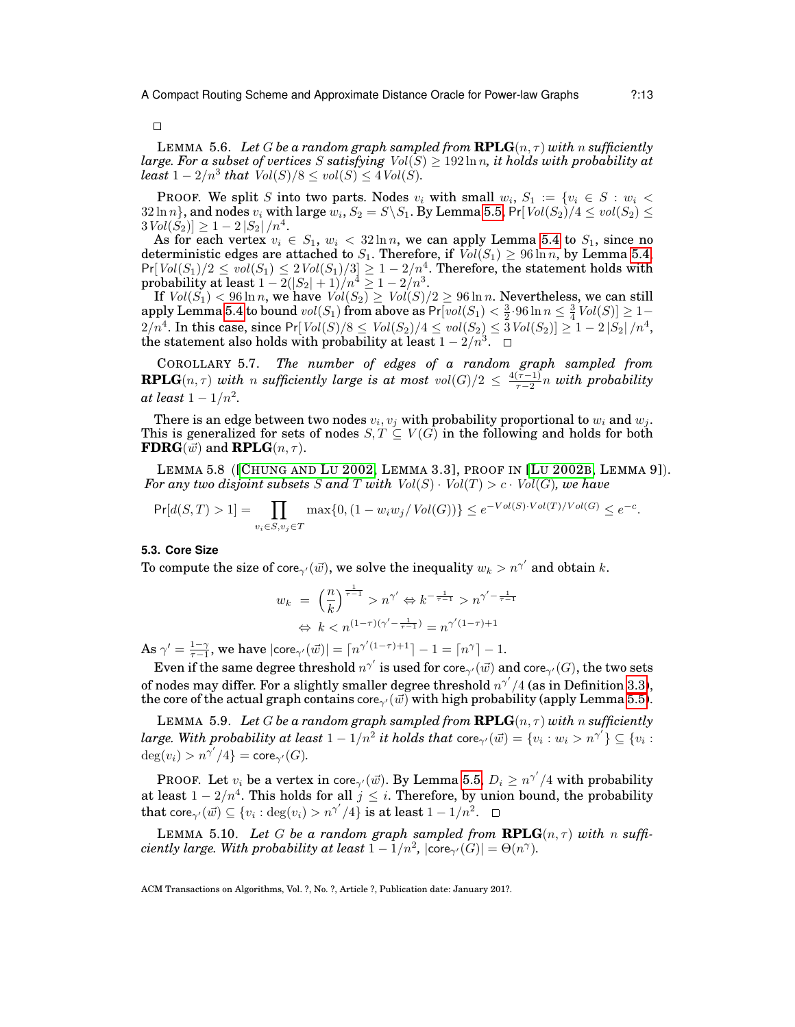$\Box$ 

<span id="page-12-0"></span>LEMMA 5.6. Let G be a random graph sampled from  $\mathbf{RPLG}(n, \tau)$  with n sufficiently *large. For a subset of vertices* S *satisfying*  $Vol(S) \geq 192 \ln n$ *, it holds with probability at*  $least\ 1-2/n^3$  that  $Vol(S)/8 \le vol(S) \le 4Vol(S)$ .

PROOF. We split S into two parts. Nodes  $v_i$  with small  $w_i$ ,  $S_1 := \{v_i \in S : w_i$  $32\ln n\},$  and nodes  $v_i$  with large  $w_i, S_2=S\backslash S_1.$  By Lemma [5.5,](#page-11-1) Pr[  $Vol(S_2)/4\leq vol(S_2)\leq$  $3 Vol(\tilde{S}_2) ] \geq 1 - 2 |S_2| / n^4.$ 

As for each vertex  $v_i \in S_1$ ,  $w_i < 32 \ln n$ , we can apply Lemma [5.4](#page-11-2) to  $S_1$ , since no deterministic edges are attached to  $S_1$ . Therefore, if  $Vol(S_1) \geq 96 \ln n$ , by Lemma [5.4,](#page-11-2)  $Pr[Vol(S_1)/2 \le vol(S_1) \le 2Vol(S_1)/3] \ge 1-2/n^4$ . Therefore, the statement holds with probability at least  $1-2(|S_2|+1)/n^4 \geq 1-2/n^3.$ 

If  $Vol(S_1) < 96 \ln n$ , we have  $Vol(S_2) \geq Vol(S)/2 \geq 96 \ln n$ . Nevertheless, we can still  ${\rm apply\, Lemma\, 5.4\ to\ bound\ }vol(S_1)\ {\rm from\ above\ as\ }Pr[vol(S_1)<\frac{3}{2}\cdot 96\ln n\leq \frac{3}{4}Vol(S)]\geq 1-1$  ${\rm apply\, Lemma\, 5.4\ to\ bound\ }vol(S_1)\ {\rm from\ above\ as\ }Pr[vol(S_1)<\frac{3}{2}\cdot 96\ln n\leq \frac{3}{4}Vol(S)]\geq 1-1$  ${\rm apply\, Lemma\, 5.4\ to\ bound\ }vol(S_1)\ {\rm from\ above\ as\ }Pr[vol(S_1)<\frac{3}{2}\cdot 96\ln n\leq \frac{3}{4}Vol(S)]\geq 1-1$  $2/n^4.$  In this case, since  $\Pr[\mathit{Vol}(S)/8 \le \mathit{Vol}(S_2)/4 \le \mathit{vol}(S_2) \le \bar 3\mathit{Vol}(S_2)] \ge 1-2\left|S_2\right|/n^4,$ the statement also holds with probability at least  $1-2/n^3$ .

<span id="page-12-4"></span>COROLLARY 5.7. *The number of edges of a random graph sampled from* **RPLG**( $n, \tau$ ) *with* n *sufficiently large is at most*  $vol(G)/2 \leq \frac{4(\tau-1)}{\tau-2}$ τ−2 n *with probability*  $at$  *least*  $1-1/n^2$ .

There is an edge between two nodes  $v_i, v_j$  with probability proportional to  $w_i$  and  $w_j$ . This is generalized for sets of nodes  $S, T \subseteq V(G)$  in the following and holds for both **FDRG** $(\vec{w})$  and **RPLG** $(n, \tau)$ .

LEMMA 5.8 ([C[HUNG AND](#page-24-2) LU 2002, LEMMA 3.3], PROOF IN [LU [2002](#page-25-2)B, LEMMA 9]). *For any two disjoint subsets* S and T with  $Vol(S) \cdot Vol(T) > c \cdot Vol(G)$ *, we have* 

$$
\Pr[d(S,T) > 1] = \prod_{v_i \in S, v_j \in T} \max\{0, (1 - w_i w_j / Vol(G))\} \le e^{-Vol(S) \cdot Vol(T) / Vol(G)} \le e^{-c}.
$$

## **5.3. Core Size**

To compute the size of core $\gamma'(\vec{w})$ , we solve the inequality  $w_k > n^{\gamma'}$  and obtain  $k.$ 

<span id="page-12-1"></span>
$$
w_k = \left(\frac{n}{k}\right)^{\frac{1}{\tau-1}} > n^{\gamma'} \Leftrightarrow k^{-\frac{1}{\tau-1}} > n^{\gamma'-\frac{1}{\tau-1}}
$$

$$
\Leftrightarrow k < n^{(1-\tau)(\gamma'-\frac{1}{\tau-1})} = n^{\gamma'(1-\tau)+1}
$$

As  $\gamma' = \frac{1-\gamma}{\tau-1}$ , we have  $|\text{core}_{\gamma'}(\vec{w})| = \lceil n^{\gamma'(1-\tau)+1} \rceil - 1 = \lceil n^{\gamma} \rceil - 1$ .

Even if the same degree threshold  $n^{\gamma'}$  is used for core $_{\gamma'}(\vec{w})$  and core $_{\gamma'}(G)$ , the two sets of nodes may differ. For a slightly smaller degree threshold  $n^{\gamma'}/4$  (as in Definition [3.3\)](#page-7-2), the core of the actual graph contains  $\text{core}_{\gamma'}(\vec{w})$  with high probability (apply Lemma [5.5\)](#page-11-1).

<span id="page-12-2"></span>LEMMA 5.9. Let G be a random graph sampled from  $\mathbf{RPLG}(n, \tau)$  with n sufficiently  $large.~With~probability~at~least~1-1/n^2~it~holds~that~core_{\gamma'}(\vec{w})=\{v_i:w_i>n^{\gamma'}\}\subseteq \{v_i:w_i\}$  $deg(v_i) > n^{\gamma'}/4$ } = core<sub> $\gamma'(G)$ </sub>.

PROOF. Let  $v_i$  be a vertex in core<sub> $\gamma'(\vec{w})$ </sub>. By Lemma [5.5,](#page-11-1)  $D_i \ge n^{\gamma'}/4$  with probability at least  $1 - 2/n^4$ . This holds for all  $j \leq i$ . Therefore, by union bound, the probability that core ${}_{\gamma'}(\vec{w}) \subseteq \{v_i : \deg(v_i) > n^{\gamma'}/4\}$  is at least  $1 - 1/n^2.$ 

<span id="page-12-3"></span>LEMMA 5.10. Let G be a random graph sampled from  $\text{RPLG}(n, \tau)$  with n suffi*ciently large. With probability at least*  $1 - 1/n^2$ ,  $|\text{core}_{\gamma'}(G)| = \Theta(n^{\gamma})$ .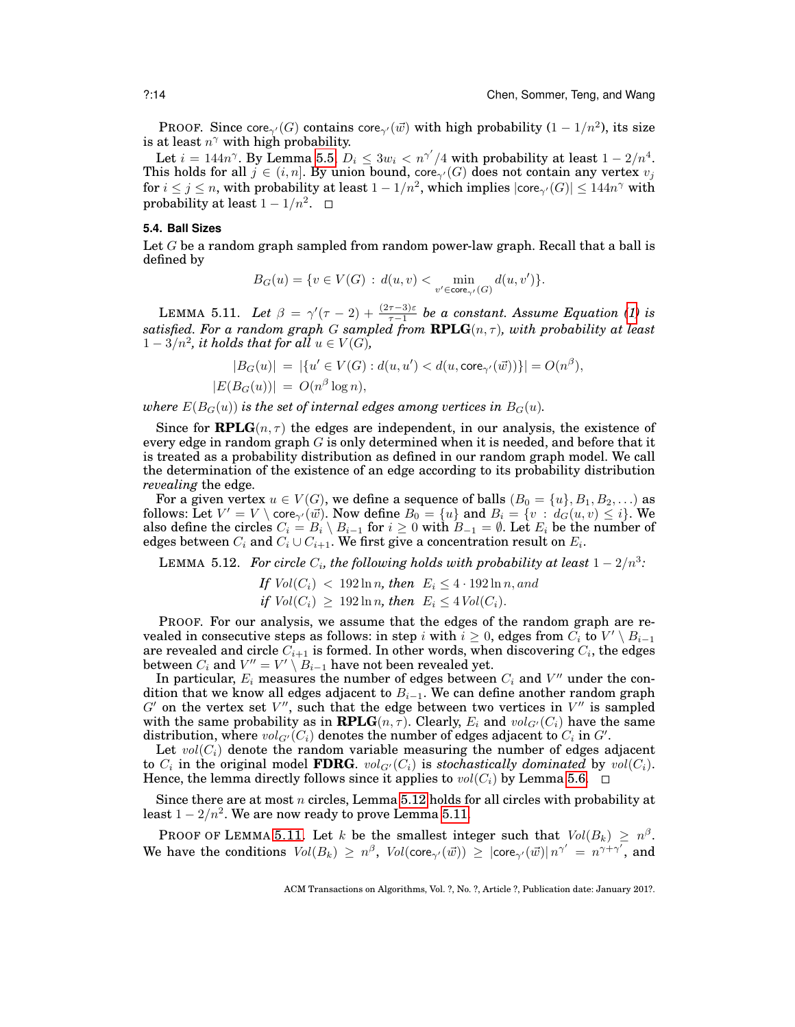PROOF. Since core<sub> $\gamma'(G)$ </sub> contains core $\gamma(\vec{w})$  with high probability  $(1 - 1/n^2)$ , its size is at least  $n^{\gamma}$  with high probability.

Let  $i = 144n^{\gamma}$ . By Lemma [5.5,](#page-11-1)  $D_i \leq 3w_i < n^{\gamma'}/4$  with probability at least  $1 - 2/n^4$ . This holds for all  $j \in (i, n]$ . By union bound, core<sub> $\gamma'(G)$ </sub> does not contain any vertex  $v_j$ for  $i\leq j\leq n,$  with probability at least  $1-1/n^2,$  which implies  $|\text{core}_{\gamma'}(G)|\leq 144n^{\gamma}$  with probability at least  $1 - 1/n^2$ .

#### **5.4. Ball Sizes**

Let G be a random graph sampled from random power-law graph. Recall that a ball is defined by

$$
B_G(u) = \{v \in V(G) \,:\, d(u,v) < \min_{v' \in \mathsf{core}_{\gamma'}(G)} d(u,v')\}.
$$

<span id="page-13-1"></span>LEMMA 5.11. Let  $\beta = \gamma'(\tau - 2) + \frac{(2\tau - 3)\varepsilon}{\tau - 1}$  be a constant. Assume Equation [\(1\)](#page-7-1) is  $satisfied.$  For a random graph  $G$  sampled from  $\mathbf{RPLG}(n, \tau)$ , with probability at least  $1-3/n^2$ , it holds that for all  $u \in V(G)$ ,

$$
|B_G(u)| = |\{u' \in V(G) : d(u, u') < d(u, \text{core}_{\gamma'}(\vec{w}))\}| = O(n^{\beta}),
$$
  

$$
|E(B_G(u))| = O(n^{\beta} \log n),
$$

*where*  $E(B_G(u))$  *is the set of internal edges among vertices in*  $B_G(u)$ *.* 

Since for **RPLG** $(n, \tau)$  the edges are independent, in our analysis, the existence of every edge in random graph  $G$  is only determined when it is needed, and before that it is treated as a probability distribution as defined in our random graph model. We call the determination of the existence of an edge according to its probability distribution *revealing* the edge.

For a given vertex  $u\in V(G),$  we define a sequence of balls  $(B_0=\{u\},B_1,B_2,\ldots)$  as follows: Let  $V' = V \setminus \text{core}_{\gamma'}(\vec{w})$ . Now define  $B_0 = \{u\}$  and  $B_i = \{v : d_G(u, v) \leq i\}$ . We also define the circles  $C_i = B_i \setminus B_{i-1}$  for  $i \geq 0$  with  $B_{-1} = \emptyset$ . Let  $E_i$  be the number of edges between  $C_i$  and  $C_i \cup C_{i+1}.$  We first give a concentration result on  $E_i.$ 

<span id="page-13-0"></span>LEMMA 5.12. For circle  $C_i$ , the following holds with probability at least  $1-2/n^3$ :

If 
$$
Vol(C_i) < 192 \ln n
$$
, then  $E_i \leq 4 \cdot 192 \ln n$ , and if  $Vol(C_i) \geq 192 \ln n$ , then  $E_i \leq 4 \, Vol(C_i)$ .

PROOF. For our analysis, we assume that the edges of the random graph are revealed in consecutive steps as follows: in step  $i$  with  $i \geq 0,$  edges from  $\bar{C_i}$  to  $V' \setminus B_{i-1}$ are revealed and circle  $C_{i+1}$  is formed. In other words, when discovering  $C_i,$  the edges between  $C_i$  and  $V'' = V' \setminus B_{i-1}$  have not been revealed yet.

In particular,  $E_i$  measures the number of edges between  $C_i$  and  $V''$  under the condition that we know all edges adjacent to  $B_{i-1}$ . We can define another random graph  $G'$  on the vertex set  $V''$ , such that the edge between two vertices in  $V''$  is sampled with the same probability as in **RPLG** $(n, \tau)$ . Clearly,  $E_i$  and  $vol_{G'}(C_i)$  have the same distribution, where  $vol_{G'}(C_i)$  denotes the number of edges adjacent to  $C_i$  in  $G'.$ 

Let  $vol(C_i)$  denote the random variable measuring the number of edges adjacent to  $C_i$  in the original model **FDRG**.  $vol_{G'}(C_i)$  is *stochastically dominated* by  $vol(C_i)$ . Hence, the lemma directly follows since it applies to  $vol(C_i)$  by Lemma [5.6.](#page-12-0)  $\Box$ 

Since there are at most n circles, Lemma  $5.12$  holds for all circles with probability at least 1 –  $2/n^2$ . We are now ready to prove Lemma [5.11.](#page-13-1)

PROOF OF LEMMA [5.11.](#page-13-1) Let k be the smallest integer such that  $Vol(B_k) \geq n^{\beta}$ . We have the conditions  $Vol(B_k) \geq n^{\beta}$ ,  $Vol(\mathrm{core}_{\gamma'}(\vec{w})) \geq |\mathrm{core}_{\gamma'}(\vec{w})| n^{\gamma'} = n^{\gamma+\gamma'}$ , and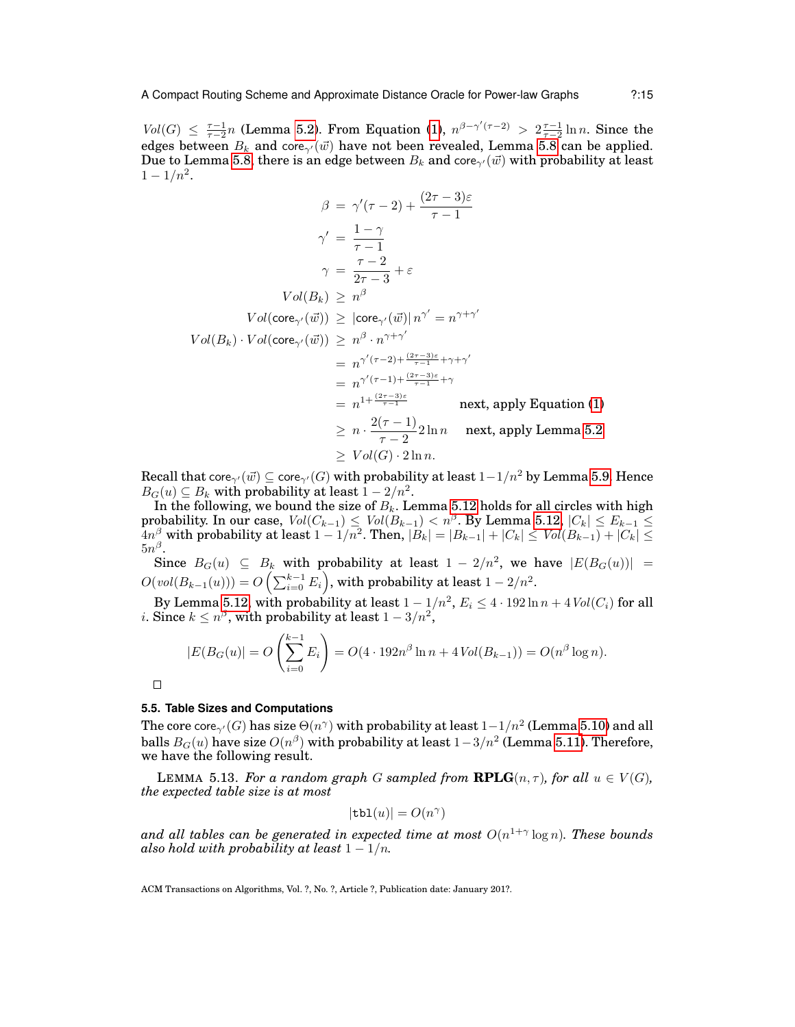$Vol(G) \leq \frac{\tau-1}{\tau-2}n$  (Lemma [5.2\)](#page-10-1). From Equation [\(1\)](#page-7-1),  $n^{\beta-\gamma'(\tau-2)} > 2\frac{\tau-1}{\tau-2}\ln n$ . Since the edges between  $B_k$  and core<sub>γ</sub>( $\vec{w}$ ) have not been revealed, Lemma [5.8](#page-12-1) can be applied. Due to Lemma [5.8,](#page-12-1) there is an edge between  $B_k$  and core<sub> $\gamma'(\vec{w})$ </sub> with probability at least  $1 - 1/n^2$ .

$$
\beta = \gamma'(\tau - 2) + \frac{(2\tau - 3)\varepsilon}{\tau - 1}
$$
  
\n
$$
\gamma' = \frac{1 - \gamma}{\tau - 1}
$$
  
\n
$$
\gamma = \frac{\tau - 2}{2\tau - 3} + \varepsilon
$$
  
\n
$$
Vol(B_k) \ge n^{\beta}
$$
  
\n
$$
Vol(\cos \gamma'(\vec{w})) \ge |\csc \gamma'(\vec{w})| n^{\gamma'} = n^{\gamma + \gamma'}
$$
  
\n
$$
Vol(B_k) \cdot Vol(\csc \gamma'(\vec{w})) \ge n^{\beta} \cdot n^{\gamma + \gamma'}
$$
  
\n
$$
= n^{\gamma'(\tau - 2) + \frac{(2\tau - 3)\varepsilon}{\tau - 1} + \gamma + \gamma'}
$$
  
\n
$$
= n^{\gamma'(\tau - 1) + \frac{(2\tau - 3)\varepsilon}{\tau - 1} + \gamma}
$$
  
\n
$$
= n^{1 + \frac{(2\tau - 3)\varepsilon}{\tau - 1}} \quad \text{next, apply Equation (1)}
$$
  
\n
$$
\ge n \cdot \frac{2(\tau - 1)}{\tau - 2} 2 \ln n \quad \text{next, apply Lemma 5.2}
$$
  
\n
$$
\ge Vol(G) \cdot 2 \ln n.
$$

Recall that core<sub> $\gamma'(\vec{w}) \subseteq \text{core}_{\gamma'}(G)$  with probability at least  $1-1/n^2$  by Lemma [5.9.](#page-12-2) Hence</sub>  $B_G(u) \subseteq B_k$  with probability at least  $1 - 2/n^2$ .

In the following, we bound the size of  $B_k$ . Lemma [5.12](#page-13-0) holds for all circles with high probability. In our case,  $Vol(C_{k-1}) \leq Vol(B_{k-1}) < n^{\beta}$ . By Lemma [5.12,](#page-13-0)  $|C_k| \leq E_{k-1} \leq$  $4n^{\beta}$  with probability at least  $1-1/n^2$ . Then,  $|\dot{B_k}| = |B_{k-1}| + |C_k| \leq \textit{Vol}(B_{k-1}) + |C_k| \leq 1$  $5n^{\beta}.$ 

Since  $B_G(u) \subseteq B_k$  with probability at least  $1 - 2/n^2$ , we have  $|E(B_G(u))|$  =  $O({\mathit{vol}}(B_{k-1}(u))) = O\left(\sum_{i=0}^{k-1} E_i\right)$ , with probability at least  $1-2/n^2$ .

By Lemma [5.12,](#page-13-0) with probability at least  $1-1/n^2,$   $E_i\leq 4\cdot 192\ln n+4\mathit{Vol}(C_i)$  for all *i*. Since  $k \leq n^{\beta}$ , with probability at least  $1 - 3/n^2$ ,

$$
|E(B_G(u)| = O\left(\sum_{i=0}^{k-1} E_i\right) = O(4 \cdot 192n^{\beta} \ln n + 4\text{Vol}(B_{k-1})) = O(n^{\beta} \log n).
$$

 $\Box$ 

## **5.5. Table Sizes and Computations**

The core core ${}_{\gamma'}(G)$  has size  $\Theta(n^{\gamma})$  with probability at least  $1{-}1/n^2$  (Lemma [5.10\)](#page-12-3) and all balls  $B_G(u)$  have size  $O(n^{\beta})$  with probability at least  $1-3/n^2$  (Lemma [5.11\)](#page-13-1). Therefore, we have the following result.

<span id="page-14-0"></span>**LEMMA** 5.13. *For a random graph* G *sampled from*  $\mathbf{RPLG}(n, \tau)$ *, for all*  $u \in V(G)$ *, the expected table size is at most*

$$
|\mathtt{tbl}(u)| = O(n^{\gamma})
$$

and all tables can be generated in expected time at most  $O(n^{1+\gamma}\log n)$ . These bounds *also hold with probability at least*  $1 - 1/n$ .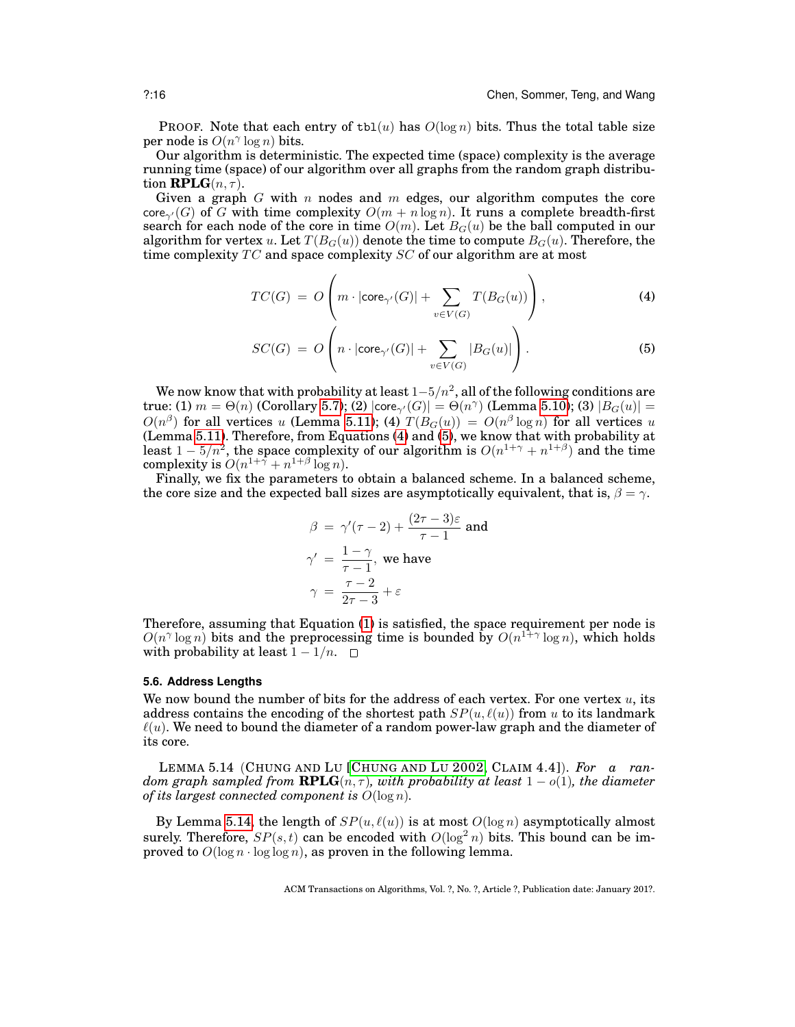PROOF. Note that each entry of  $\text{th}(u)$  has  $O(\log n)$  bits. Thus the total table size per node is  $O(n^{\gamma} \log n)$  bits.

Our algorithm is deterministic. The expected time (space) complexity is the average running time (space) of our algorithm over all graphs from the random graph distribution  $\mathbf{RPLG}(n, \tau)$ .

Given a graph G with n nodes and m edges, our algorithm computes the core core<sub> $\gamma'(G)$ </sub> of G with time complexity  $O(m + n \log n)$ . It runs a complete breadth-first search for each node of the core in time  $O(m)$ . Let  $B_G(u)$  be the ball computed in our algorithm for vertex u. Let  $T(B_G(u))$  denote the time to compute  $B_G(u)$ . Therefore, the time complexity  $TC$  and space complexity  $SC$  of our algorithm are at most

<span id="page-15-0"></span>
$$
TC(G) = O\left(m \cdot |\text{core}_{\gamma'}(G)| + \sum_{v \in V(G)} T(B_G(u))\right),\tag{4}
$$

$$
SC(G) = O\left(n \cdot |\text{core}_{\gamma'}(G)| + \sum_{v \in V(G)} |B_G(u)|\right).
$$
 (5)

We now know that with probability at least  $1-5/n^2$ , all of the following conditions are true: (1)  $m = \Theta(n)$  (Corollary [5.7\)](#page-12-4); (2)  $|\mathsf{core}_{\gamma'}(G)| = \Theta(n^{\gamma})$  (Lemma [5.10\)](#page-12-3); (3)  $|B_G(u)| =$  $O(n^{\beta})$  for all vertices u (Lemma [5.11\)](#page-13-1); (4)  $T(B_G(u)) = O(n^{\beta} \log n)$  for all vertices u (Lemma [5.11\)](#page-13-1). Therefore, from Equations [\(4\)](#page-15-0) and [\(5\)](#page-15-0), we know that with probability at least  $1 - 5/n^2$ , the space complexity of our algorithm is  $O(n^{1+\gamma} + n^{1+\beta})$  and the time complexity is  $O(n^{1+\gamma} + n^{1+\beta} \log n)$ .

Finally, we fix the parameters to obtain a balanced scheme. In a balanced scheme, the core size and the expected ball sizes are asymptotically equivalent, that is,  $\beta = \gamma$ .

$$
\beta = \gamma'(\tau - 2) + \frac{(2\tau - 3)\varepsilon}{\tau - 1}
$$
 and  
\n
$$
\gamma' = \frac{1 - \gamma}{\tau - 1}
$$
, we have  
\n
$$
\gamma = \frac{\tau - 2}{2\tau - 3} + \varepsilon
$$

Therefore, assuming that Equation [\(1\)](#page-7-1) is satisfied, the space requirement per node is  $O(n^{\gamma} \log n)$  bits and the preprocessing time is bounded by  $O(n^{1+\gamma} \log n)$ , which holds with probability at least  $1 - 1/n$ . □

## **5.6. Address Lengths**

We now bound the number of bits for the address of each vertex. For one vertex  $u$ , its address contains the encoding of the shortest path  $SP(u, \ell(u))$  from u to its landmark  $\ell(u)$ . We need to bound the diameter of a random power-law graph and the diameter of its core.

<span id="page-15-1"></span>LEMMA 5.14 (CHUNG AND LU [C[HUNG AND](#page-24-2) LU 2002, CLAIM 4.4]). *For a random graph sampled from RPLG(* $n, \tau$ *), with probability at least*  $1 - o(1)$ *, the diameter of its largest connected component is* O(log n)*.*

<span id="page-15-2"></span>By Lemma [5.14,](#page-15-1) the length of  $SP(u, \ell(u))$  is at most  $O(\log n)$  asymptotically almost surely. Therefore,  $SP(s,t)$  can be encoded with  $O(\log^2 n)$  bits. This bound can be improved to  $O(\log n \cdot \log \log n)$ , as proven in the following lemma.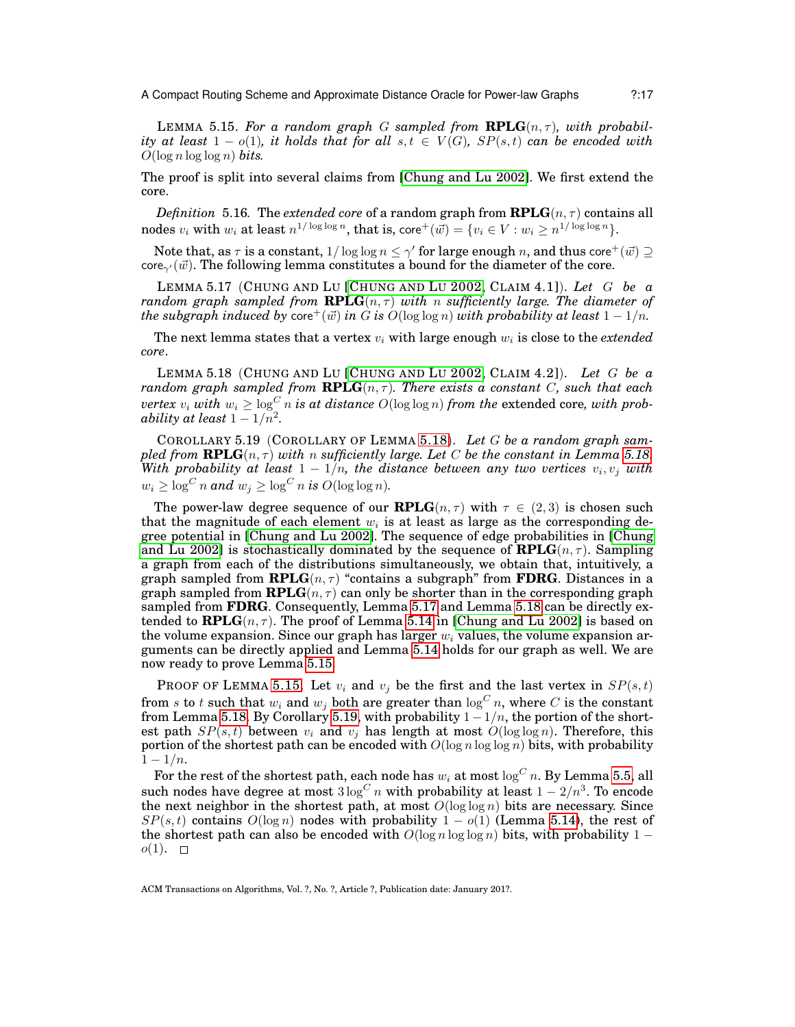LEMMA 5.15. For a random graph G sampled from  $\mathbf{RPLG}(n, \tau)$ , with probabil*ity at least*  $1 - o(1)$ *, it holds that for all*  $s, t \in V(G)$ *, SP(s,t) can be encoded with*  $O(\log n \log \log n)$  bits.

The proof is split into several claims from [\[Chung and Lu 2002\]](#page-24-2). We first extend the core.

 $Definition \; 5.16.$  The  $extended \; core$  of a random graph from  $\mathbf{RPLG}(n,\tau)$  contains all nodes  $v_i$  with  $w_i$  at least  $n^{1/\log \log n}$ , that is, core $^+(\vec{w}) = \{v_i \in V : w_i \geq n^{1/\log \log n}\}.$ 

Note that, as  $\tau$  is a constant,  $1/\log\log n\leq \gamma'$  for large enough  $n,$  and thus core $^+(\vec w)\supseteq$ core<sub> $\gamma'(\vec{w})$ </sub>. The following lemma constitutes a bound for the diameter of the core.

<span id="page-16-1"></span>LEMMA 5.17 (CHUNG AND LU [C[HUNG AND](#page-24-2) LU 2002, CLAIM 4.1]). *Let* G *be a random graph sampled from RPLG* $(n, \tau)$  *with n sufficiently large. The diameter of the subgraph induced by*  $\text{core}^+(\vec{w})$  *in* G *is*  $O(\log \log n)$  *with probability at least*  $1 - 1/n$ *.* 

<span id="page-16-0"></span>The next lemma states that a vertex  $v_i$ , with large enough  $w_i$  is close to the *extended core*.

LEMMA 5.18 (CHUNG AND LU [C[HUNG AND](#page-24-2) LU 2002, CLAIM 4.2]). *Let* G *be a random graph sampled from RPLG* $(n, \tau)$ *<i>. There exists a constant* C, such that each *vertex*  $v_i$  *with*  $w_i \geq \log^C n$  *is at distance*  $O(\log \log n)$  *from the extended core, with prob* $ability$  at least  $1-1/n^2$ .

<span id="page-16-2"></span>COROLLARY 5.19 (COROLLARY OF LEMMA [5.18](#page-16-0)). *Let* G *be a random graph sampled from RPLG* $(n, \tau)$  *<i>with* n *sufficiently large. Let* C *be the constant in Lemma* [5.18.](#page-16-0) *With probability at least*  $1 - 1/n$ , the distance between any two vertices  $v_i, v_j$  with  $w_i \geq \log^C n$  and  $w_i \geq \log^C n$  is  $O(\log \log n)$ .

The power-law degree sequence of our **RPLG** $(n, \tau)$  with  $\tau \in (2, 3)$  is chosen such that the magnitude of each element  $w_i$  is at least as large as the corresponding degree potential in [\[Chung and Lu 2002\]](#page-24-2). The sequence of edge probabilities in [\[Chung](#page-24-2) [and Lu 2002\]](#page-24-2) is stochastically dominated by the sequence of  $\mathbf{RPLG}(n, \tau)$ . Sampling a graph from each of the distributions simultaneously, we obtain that, intuitively, a graph sampled from **RPLG** $(n, \tau)$  "contains a subgraph" from **FDRG**. Distances in a graph sampled from **RPLG** $(n, \tau)$  can only be shorter than in the corresponding graph sampled from **FDRG**. Consequently, Lemma [5.17](#page-16-1) and Lemma [5.18](#page-16-0) can be directly extended to  $\text{RPLG}(n, \tau)$ . The proof of Lemma [5.14](#page-15-1) in [\[Chung and Lu 2002\]](#page-24-2) is based on the volume expansion. Since our graph has larger  $w_i$  values, the volume expansion arguments can be directly applied and Lemma [5.14](#page-15-1) holds for our graph as well. We are now ready to prove Lemma [5.15.](#page-15-2)

PROOF OF LEMMA [5.15.](#page-15-2) Let  $v_i$  and  $v_j$  be the first and the last vertex in  $SP(s,t)$ from s to t such that  $w_i$  and  $w_j$  both are greater than  $\log^C n$ , where C is the constant from Lemma [5.18.](#page-16-0) By Corollary [5.19,](#page-16-2) with probability  $1 - 1/n$ , the portion of the shortest path  $SP(s, t)$  between  $v_i$  and  $v_j$  has length at most  $O(\log \log n)$ . Therefore, this portion of the shortest path can be encoded with  $O(\log n \log \log n)$  bits, with probability  $1 - 1/n$ .

For the rest of the shortest path, each node has  $w_i$  at most  $\log^C n$ . By Lemma [5.5,](#page-11-1) all such nodes have degree at most  $3\log^C n$  with probability at least  $1-2/n^3.$  To encode the next neighbor in the shortest path, at most  $O(\log \log n)$  bits are necessary. Since  $SP(s,t)$  contains  $O(\log n)$  nodes with probability  $1 - o(1)$  (Lemma [5.14\)](#page-15-1), the rest of the shortest path can also be encoded with  $O(\log n \log \log n)$  bits, with probability 1 −  $o(1)$ .  $\square$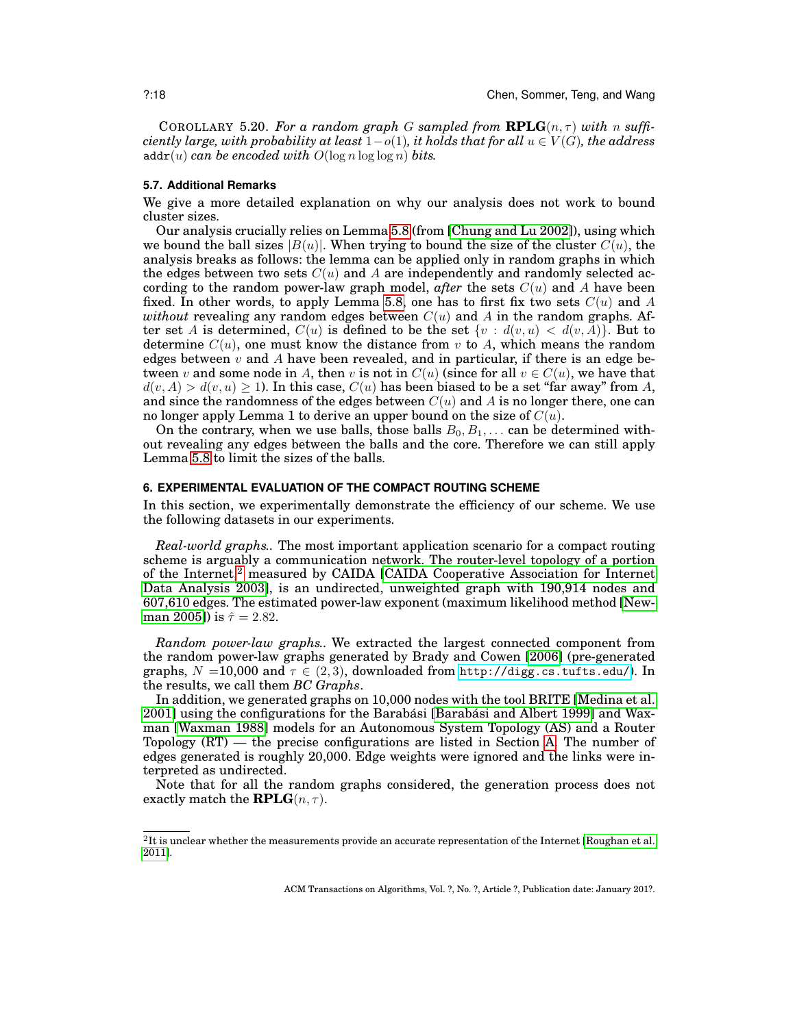COROLLARY 5.20. For a random graph G sampled from  $RPLG(n, \tau)$  with n suffi*ciently large, with probability at least*  $1-o(1)$ *, it holds that for all*  $u \in V(G)$ *, the address*  $\text{addr}(u)$  *can be encoded with*  $O(\log n \log \log n)$  *bits.* 

#### <span id="page-17-1"></span>**5.7. Additional Remarks**

We give a more detailed explanation on why our analysis does not work to bound cluster sizes.

Our analysis crucially relies on Lemma [5.8](#page-12-1) (from [\[Chung and Lu 2002\]](#page-24-2)), using which we bound the ball sizes  $|B(u)|$ . When trying to bound the size of the cluster  $C(u)$ , the analysis breaks as follows: the lemma can be applied only in random graphs in which the edges between two sets  $C(u)$  and A are independently and randomly selected according to the random power-law graph model, *after* the sets  $C(u)$  and A have been fixed. In other words, to apply Lemma [5.8,](#page-12-1) one has to first fix two sets  $C(u)$  and A *without* revealing any random edges between  $C(u)$  and A in the random graphs. After set A is determined,  $C(u)$  is defined to be the set  $\{v : d(v, u) < d(v, A)\}$ . But to determine  $C(u)$ , one must know the distance from v to A, which means the random edges between  $v$  and A have been revealed, and in particular, if there is an edge between v and some node in A, then v is not in  $C(u)$  (since for all  $v \in C(u)$ , we have that  $d(v, A) > d(v, u) \ge 1$ . In this case,  $C(u)$  has been biased to be a set "far away" from A, and since the randomness of the edges between  $C(u)$  and A is no longer there, one can no longer apply Lemma 1 to derive an upper bound on the size of  $C(u)$ .

On the contrary, when we use balls, those balls  $B_0, B_1, \ldots$  can be determined without revealing any edges between the balls and the core. Therefore we can still apply Lemma [5.8](#page-12-1) to limit the sizes of the balls.

## <span id="page-17-0"></span>**6. EXPERIMENTAL EVALUATION OF THE COMPACT ROUTING SCHEME**

In this section, we experimentally demonstrate the efficiency of our scheme. We use the following datasets in our experiments.

*Real-world graphs..* The most important application scenario for a compact routing scheme is arguably a communication network. The router-level topology of a portion of the Internet,<sup>[2](#page-17-2)</sup> measured by CAIDA [\[CAIDA Cooperative Association for Internet](#page-24-26) [Data Analysis 2003\]](#page-24-26), is an undirected, unweighted graph with 190,914 nodes and 607,610 edges. The estimated power-law exponent (maximum likelihood method [\[New](#page-25-19)[man 2005\]](#page-25-19)) is  $\hat{\tau} = 2.82$ .

*Random power-law graphs..* We extracted the largest connected component from the random power-law graphs generated by Brady and Cowen [\[2006\]](#page-24-8) (pre-generated graphs,  $N = 10,000$  and  $\tau \in (2,3)$ , downloaded from <http://digg.cs.tufts.edu/>). In the results, we call them *BC Graphs*.

In addition, we generated graphs on 10,000 nodes with the tool BRITE [\[Medina et al.](#page-25-20) [2001\]](#page-25-20) using the configurations for the Barabási [Barabási and Albert 1999] and Waxman [\[Waxman 1988\]](#page-25-21) models for an Autonomous System Topology (AS) and a Router Topology (RT) — the precise configurations are listed in Section [A.](#page-26-0) The number of edges generated is roughly 20,000. Edge weights were ignored and the links were interpreted as undirected.

Note that for all the random graphs considered, the generation process does not exactly match the **RPLG** $(n, \tau)$ .

<span id="page-17-2"></span> ${}^{2}$ It is unclear whether the measurements provide an accurate representation of the Internet [\[Roughan et al.](#page-25-5) [2011\]](#page-25-5).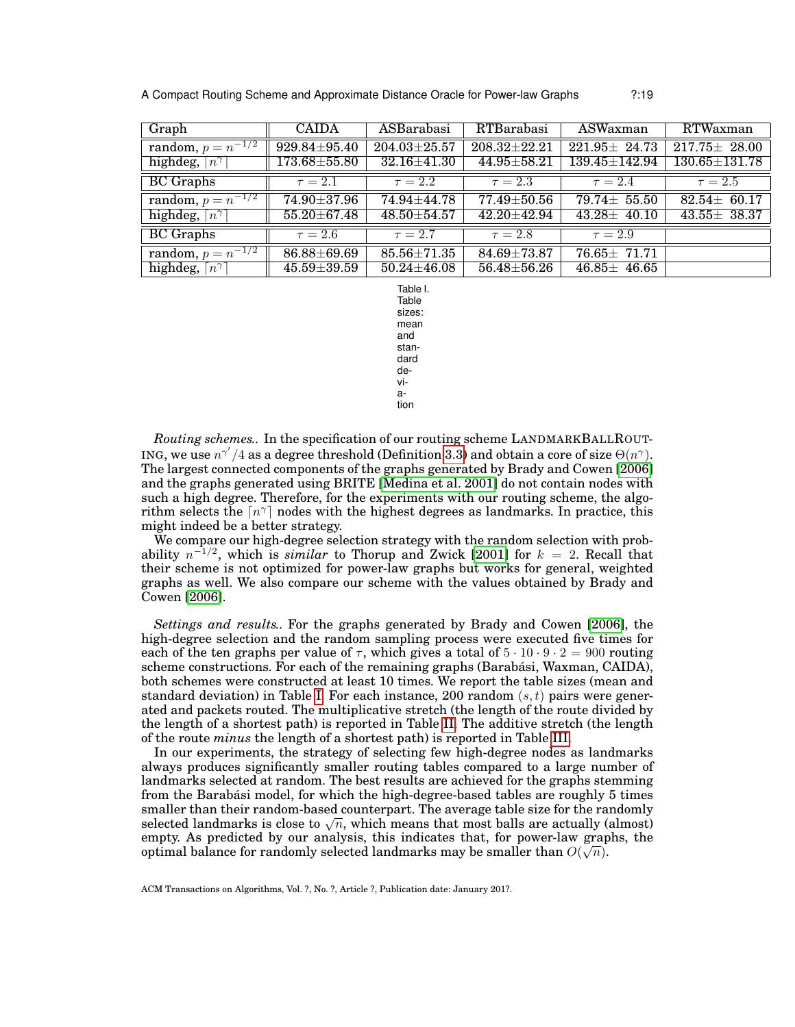A Compact Routing Scheme and Approximate Distance Oracle for Power-law Graphs ?:19

| Graph                               | <b>CAIDA</b>       | ASBarabasi         | RTBarabasi         | ASWaxman            | RTWaxman            |
|-------------------------------------|--------------------|--------------------|--------------------|---------------------|---------------------|
| random, $p = n^{-1/2}$              | $929.84 \pm 95.40$ | $204.03 \pm 25.57$ | $208.32 \pm 22.21$ | $221.95 \pm 24.73$  | $217.75 \pm 28.00$  |
| highdeg, $\lceil n^{\gamma} \rceil$ | $173.68 \pm 55.80$ | $32.16 \pm 41.30$  | $44.95 \pm 58.21$  | $139.45 \pm 142.94$ | $130.65 \pm 131.78$ |
| <b>BC</b> Graphs                    | $\tau = 2.1$       | $\tau = 2.2$       | $\tau = 2.3$       | $\tau = 2.4$        | $\tau = 2.5$        |
| random, $p = n^{-1/2}$              | 74.90 $\pm$ 37.96  | $74.94 + 44.78$    | $77.49 + 50.56$    | $79.74 \pm 55.50$   | $82.54 \pm 60.17$   |
| highdeg, $\lceil n^{\gamma} \rceil$ | $55.20 \pm 67.48$  | $48.50{\pm}54.57$  | $42.20 \pm 42.94$  | $43.28 \pm 40.10$   | $43.55 \pm 38.37$   |
| <b>BC</b> Graphs                    | $\tau = 2.6$       | $\tau = 2.7$       | $\tau = 2.8$       | $\tau = 2.9$        |                     |
| random, $p = n^{-1/2}$              | 86.88±69.69        | $85.56 \pm 71.35$  | $84.69 \pm 73.87$  | $76.65 \pm 71.71$   |                     |
| highdeg, $\lceil n^{\gamma} \rceil$ | $45.59 \pm 39.59$  | $50.24 \pm 46.08$  | $56.48 \pm 56.26$  | $46.85 \pm 46.65$   |                     |

<span id="page-18-0"></span>Table I. Table sizes: mean and standard deviation

*Routing schemes..* In the specification of our routing scheme LANDMARKBALLROUT-ING, we use  $n^{\gamma'}/4$  as a degree threshold (Definition [3.3\)](#page-7-2) and obtain a core of size  $\Theta(n^{\gamma})$ . The largest connected components of the graphs generated by Brady and Cowen [\[2006\]](#page-24-8) and the graphs generated using BRITE [\[Medina et al. 2001\]](#page-25-20) do not contain nodes with such a high degree. Therefore, for the experiments with our routing scheme, the algorithm selects the  $\lceil n^{\gamma} \rceil$  nodes with the highest degrees as landmarks. In practice, this might indeed be a better strategy.

We compare our high-degree selection strategy with the random selection with probability  $n^{-1/2}$ , which is *similar* to Thorup and Zwick [\[2001\]](#page-25-1) for  $k = 2$ . Recall that their scheme is not optimized for power-law graphs but works for general, weighted graphs as well. We also compare our scheme with the values obtained by Brady and Cowen [\[2006\]](#page-24-8).

*Settings and results..* For the graphs generated by Brady and Cowen [\[2006\]](#page-24-8), the high-degree selection and the random sampling process were executed five times for each of the ten graphs per value of  $\tau$ , which gives a total of  $5 \cdot 10 \cdot 9 \cdot 2 = 900$  routing scheme constructions. For each of the remaining graphs (Barabási, Waxman, CAIDA), both schemes were constructed at least 10 times. We report the table sizes (mean and standard deviation) in Table [I.](#page-18-0) For each instance, 200 random  $(s, t)$  pairs were generated and packets routed. The multiplicative stretch (the length of the route divided by the length of a shortest path) is reported in Table [II.](#page-19-0) The additive stretch (the length of the route *minus* the length of a shortest path) is reported in Table [III.](#page-19-1)

In our experiments, the strategy of selecting few high-degree nodes as landmarks always produces significantly smaller routing tables compared to a large number of landmarks selected at random. The best results are achieved for the graphs stemming from the Barabási model, for which the high-degree-based tables are roughly 5 times smaller than their random-based counterpart. The average table size for the randomly smaller than their random-based counterpart. The average table size for the randomly selected landmarks is close to  $\sqrt{n}$ , which means that most balls are actually (almost) empty. As predicted by our analysis, this indicates that, for power-law graphs, the optimal balance for randomly selected landmarks may be smaller than  $O(\sqrt{n}).$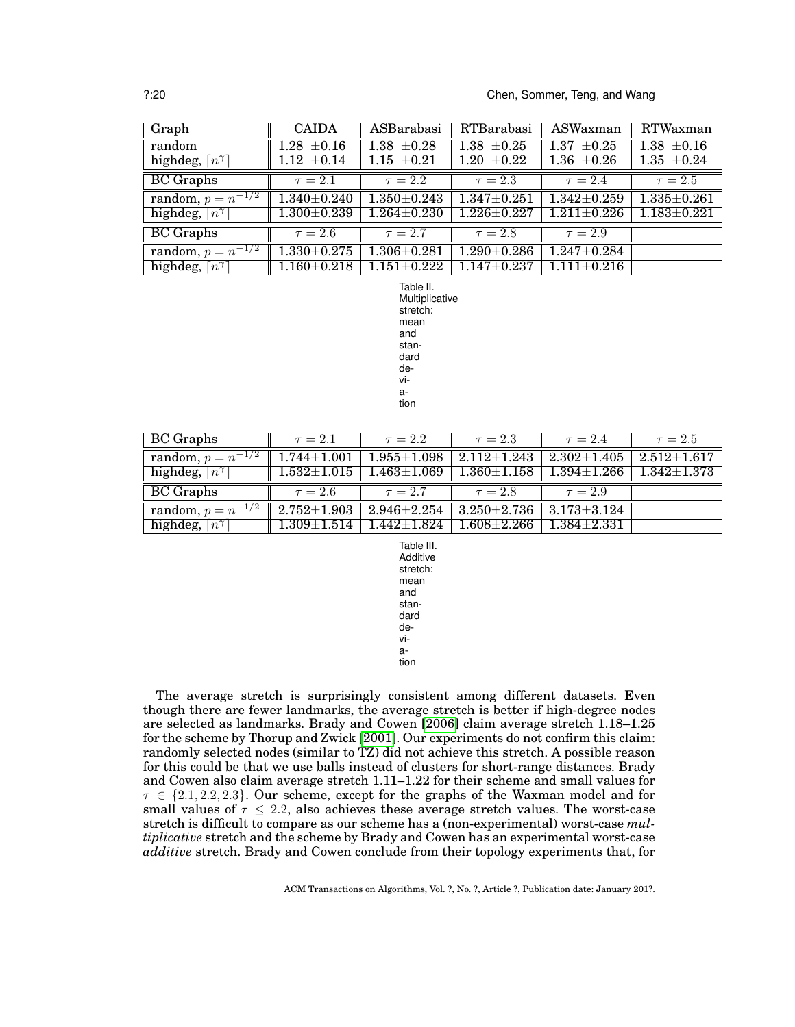| Graph                                             | <b>CAIDA</b>      | ASBarabasi        | RTBarabasi        | ASWaxman                     | RTWaxman          |
|---------------------------------------------------|-------------------|-------------------|-------------------|------------------------------|-------------------|
| random                                            | $1.28 \pm 0.16$   | $1.38 \pm 0.28$   | $1.38 \pm 0.25$   | $+0.25$<br>1.37              | $1.38 \pm 0.16$   |
| highdeg,<br>$\lceil n^{\overline{\gamma}} \rceil$ | $1.12 \pm 0.14$   | $1.15 \pm 0.21$   | $1.20 \pm 0.22$   | $1.36 \pm 0.26$              | $1.35 \pm 0.24$   |
| <b>BC</b> Graphs                                  | $\tau = 2.1$      | $\tau = 2.2$      | $\tau = 2.3$      | $\tau = 2.4$                 | $\tau = 2.5$      |
| random, $p = n^{-1/2}$                            | $1.340 + 0.240$   | $1.350 + 0.243$   | $1.347 + 0.251$   | $1.342 + 0.259$              | $1.335 + 0.261$   |
| highdeg, $\lceil n^{\gamma} \rceil$               | $1.300 \pm 0.239$ | $1.264 \pm 0.230$ | $1.226 \pm 0.227$ | $1.211 \pm 0.226$            | $1.183 \pm 0.221$ |
| <b>BC</b> Graphs                                  | $\tau = 2.6$      | $\tau = 2.7$      | $\tau = 2.8$      | $\tau = 2.9$                 |                   |
| random, $p = n^{-1/2}$                            | $1.330 \pm 0.275$ | $1.306 + 0.281$   | $1.290 \pm 0.286$ | $1.247 + 0.284$              |                   |
| $\lceil n^{\gamma} \rceil$<br>highdeg,            | $1.160 + 0.218$   | $1.151\pm0.222$   | $1.147 + 0.237$   | $1.\overline{111 \pm 0.216}$ |                   |

<span id="page-19-0"></span>Table II. Multiplicative stretch: mean and standard deviation

| BC Graphs                           | $\tau = 2.1$      | $\tau = 2.2$      | $\tau = 2.3$        | $\tau = 2.4$      | $\tau = 2.5$      |
|-------------------------------------|-------------------|-------------------|---------------------|-------------------|-------------------|
| <b>random</b> , $p = n^{-1/2}$      | $1.744 \pm 1.001$ | $1.955 + 1.098$   | $2.112 {\pm} 1.243$ | $2.302{\pm}1.405$ | $2.512{\pm}1.617$ |
| highdeg, $\lceil n^{\gamma} \rceil$ | $1.532{\pm}1.015$ | $1.463 \pm 1.069$ | $1.360{\pm}1.158$   | $1.394{\pm}1.266$ | $1.342 + 1.373$   |
|                                     |                   |                   |                     |                   |                   |
| <b>BC</b> Graphs                    | $\tau = 2.6$      | $\tau = 2.7$      | $\tau = 2.8$        | $\tau = 2.9$      |                   |
| random, $p = n^{-1/2}$              | $2.752 \pm 1.903$ | $2.946 + 2.254$   | $3.250{\pm}2.736$ . | $3.173 \pm 3.124$ |                   |

<span id="page-19-1"></span>Table III. Additive stretch: mean and standard deviation

The average stretch is surprisingly consistent among different datasets. Even though there are fewer landmarks, the average stretch is better if high-degree nodes are selected as landmarks. Brady and Cowen [\[2006\]](#page-24-8) claim average stretch 1.18–1.25 for the scheme by Thorup and Zwick [\[2001\]](#page-25-1). Our experiments do not confirm this claim: randomly selected nodes (similar to TZ) did not achieve this stretch. A possible reason for this could be that we use balls instead of clusters for short-range distances. Brady and Cowen also claim average stretch 1.11–1.22 for their scheme and small values for  $\tau \in \{2.1, 2.2, 2.3\}$ . Our scheme, except for the graphs of the Waxman model and for small values of  $\tau \leq 2.2$ , also achieves these average stretch values. The worst-case stretch is difficult to compare as our scheme has a (non-experimental) worst-case *multiplicative* stretch and the scheme by Brady and Cowen has an experimental worst-case *additive* stretch. Brady and Cowen conclude from their topology experiments that, for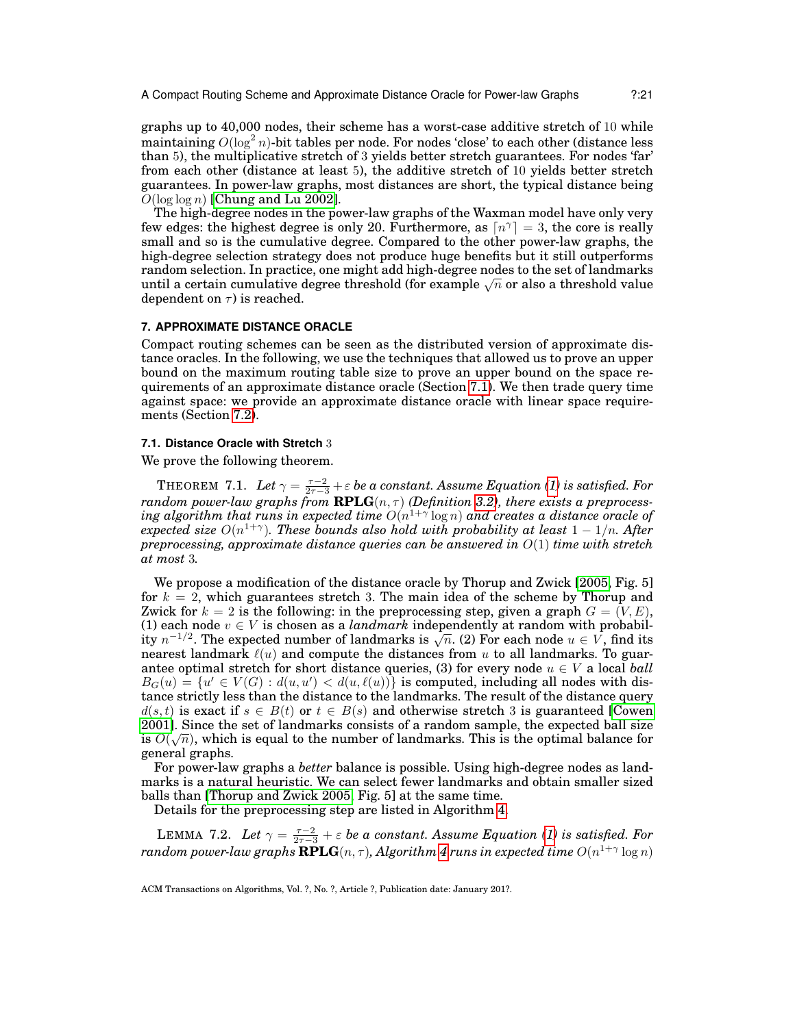graphs up to 40,000 nodes, their scheme has a worst-case additive stretch of 10 while maintaining  $O(\log^2 n)$ -bit tables per node. For nodes 'close' to each other (distance less than 5), the multiplicative stretch of 3 yields better stretch guarantees. For nodes 'far' from each other (distance at least 5), the additive stretch of 10 yields better stretch guarantees. In power-law graphs, most distances are short, the typical distance being  $O(\log \log n)$  [\[Chung and Lu 2002\]](#page-24-2).

The high-degree nodes in the power-law graphs of the Waxman model have only very few edges: the highest degree is only 20. Furthermore, as  $\lceil n^{\gamma} \rceil = 3$ , the core is really small and so is the cumulative degree. Compared to the other power-law graphs, the high-degree selection strategy does not produce huge benefits but it still outperforms random selection. In practice, one might add high-degree nodes to the set of landmarks random selection. In practice, one might add nigh-degree nodes to the set of landmarks<br>until a certain cumulative degree threshold (for example  $\sqrt{n}$  or also a threshold value dependent on  $\tau$ ) is reached.

## <span id="page-20-0"></span>**7. APPROXIMATE DISTANCE ORACLE**

Compact routing schemes can be seen as the distributed version of approximate distance oracles. In the following, we use the techniques that allowed us to prove an upper bound on the maximum routing table size to prove an upper bound on the space requirements of an approximate distance oracle (Section [7.1\)](#page-20-1). We then trade query time against space: we provide an approximate distance oracle with linear space requirements (Section [7.2\)](#page-21-0).

#### <span id="page-20-1"></span>**7.1. Distance Oracle with Stretch** 3

<span id="page-20-2"></span>We prove the following theorem.

THEOREM 7.1. *Let* γ = τ−2 <sup>2</sup>τ−<sup>3</sup> +ε *be a constant. Assume Equation [\(1\)](#page-7-1) is satisfied. For*  $r$ andom power-law graphs from  $\mathbf{RPLG}(n,\tau)$  (Definition [3.2\)](#page-6-1), there exists a preprocess- ${\it ing$  algorithm that runs in expected time  $O(n^{1+\gamma}\log n)$  and creates a distance oracle of *expected size* O(n 1+γ )*. These bounds also hold with probability at least* 1 − 1/n*. After preprocessing, approximate distance queries can be answered in* O(1) *time with stretch at most* 3*.*

We propose a modification of the distance oracle by Thorup and Zwick [\[2005,](#page-25-3) Fig. 5] for  $k = 2$ , which guarantees stretch 3. The main idea of the scheme by Thorup and Zwick for  $k = 2$  is the following: in the preprocessing step, given a graph  $G = (V, E)$ , (1) each node  $v \in V$  is chosen as a *landmark* independently at random with probabil-(1) each node  $v \in V$  is chosen as a *tanamark* independently at random with probability  $n^{-1/2}$ . The expected number of landmarks is  $\sqrt{n}$ . (2) For each node  $u \in V$ , find its nearest landmark  $\ell(u)$  and compute the distances from u to all landmarks. To guarantee optimal stretch for short distance queries, (3) for every node  $u \in V$  a local *ball*  $B_G(u) = \{u' \in V(G) : d(u, u') < d(u, \ell(u))\}$  is computed, including all nodes with distance strictly less than the distance to the landmarks. The result of the distance query  $d(s,t)$  is exact if  $s \in B(t)$  or  $t \in B(s)$  and otherwise stretch 3 is guaranteed [\[Cowen](#page-24-9)] [2001\]](#page-24-9). Since the set of landmarks consists of a random sample, the expected ball size is  $O(\sqrt{n})$ , which is equal to the number of landmarks. This is the optimal balance for general graphs.

For power-law graphs a *better* balance is possible. Using high-degree nodes as landmarks is a natural heuristic. We can select fewer landmarks and obtain smaller sized balls than [\[Thorup and Zwick 2005,](#page-25-3) Fig. 5] at the same time.

Details for the preprocessing step are listed in Algorithm [4.](#page-9-7)

<span id="page-20-3"></span>LEMMA 7.2. Let  $\gamma = \frac{\tau-2}{2\tau-3} + \varepsilon$  be a constant. Assume Equation [\(1\)](#page-7-1) is satisfied. For  $r$ andom power-law graphs  $\mathbf{RPLG}(n,\tau)$ , Algorithm [4](#page-9-7)  $r$ uns in expected time  $O(n^{1+\gamma}\log n)$ 

ACM Transactions on Algorithms, Vol. ?, No. ?, Article ?, Publication date: January 201?.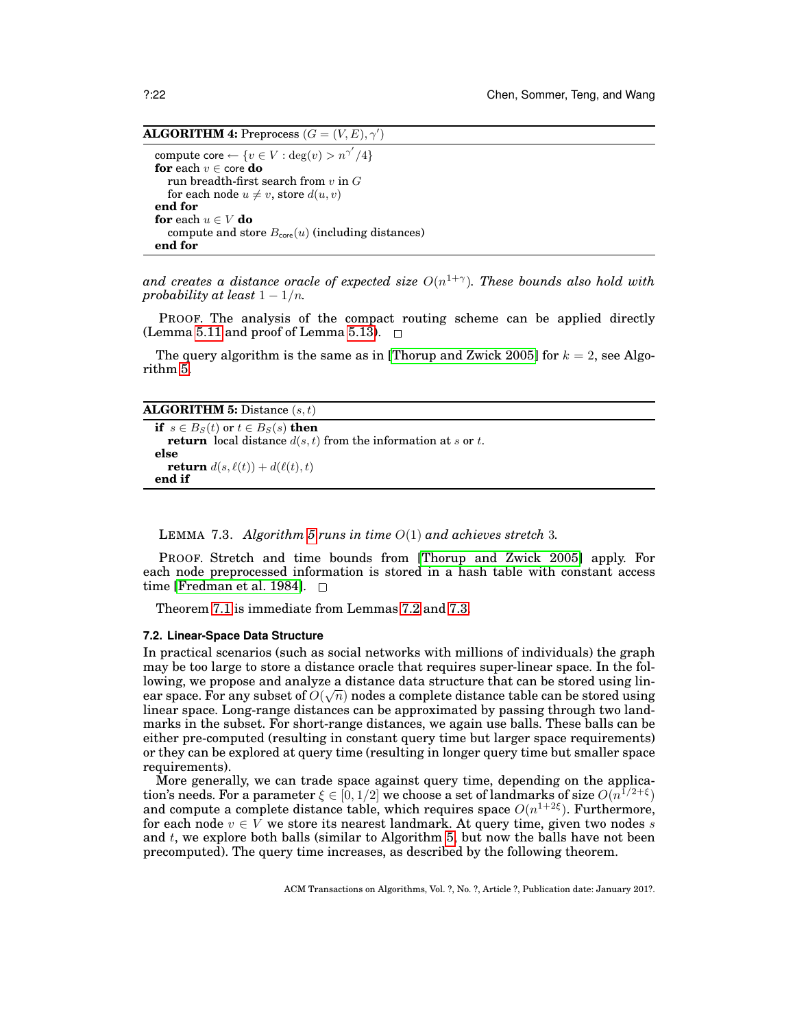**ALGORITHM 4:** Preprocess  $(G = (V, E), \gamma')$ 

compute core  $\leftarrow \{v \in V : \deg(v) > n^{\gamma'} / 4\}$ **for** each  $v \in \text{core}$  **do** run breadth-first search from  $v$  in  $G$ for each node  $u \neq v$ , store  $d(u, v)$ **end for for** each  $u \in V$  **do** compute and store  $B_{\text{core}}(u)$  (including distances) **end for**

and creates a distance oracle of expected size  $O(n^{1+\gamma})$ . These bounds also hold with *probability at least*  $1 - 1/n$ *.* 

PROOF. The analysis of the compact routing scheme can be applied directly (Lemma [5.11](#page-13-1) and proof of Lemma [5.13\)](#page-14-0).  $\Box$ 

The query algorithm is the same as in [\[Thorup and Zwick 2005\]](#page-25-3) for  $k = 2$ , see Algorithm [5.](#page-8-1)

**ALGORITHM 5:** Distance (s, t)

```
if s \in B_S(t) or t \in B_S(s) then
  return local distance d(s, t) from the information at s or t.
else
  return d(s, \ell(t)) + d(\ell(t), t)end if
```
<span id="page-21-1"></span>LEMMA 7.3. *Algorithm [5](#page-8-1) runs in time* O(1) *and achieves stretch* 3*.*

PROOF. Stretch and time bounds from [\[Thorup and Zwick 2005\]](#page-25-3) apply. For each node preprocessed information is stored in a hash table with constant access time [\[Fredman et al. 1984\]](#page-24-27).  $\square$ 

Theorem [7.1](#page-20-2) is immediate from Lemmas [7.2](#page-20-3) and [7.3.](#page-21-1)

#### <span id="page-21-0"></span>**7.2. Linear-Space Data Structure**

In practical scenarios (such as social networks with millions of individuals) the graph may be too large to store a distance oracle that requires super-linear space. In the following, we propose and analyze a distance data structure that can be stored using linear space. For any subset of  $O(\sqrt{n})$  nodes a complete distance table can be stored using linear space. Long-range distances can be approximated by passing through two landmarks in the subset. For short-range distances, we again use balls. These balls can be either pre-computed (resulting in constant query time but larger space requirements) or they can be explored at query time (resulting in longer query time but smaller space requirements).

<span id="page-21-2"></span>More generally, we can trade space against query time, depending on the application's needs. For a parameter  $\xi \in [0, 1/2]$  we choose a set of landmarks of size  $O(n^{1/2+\xi})$ and compute a complete distance table, which requires space  $O(n^{1+2\xi})$ . Furthermore, for each node  $v \in V$  we store its nearest landmark. At query time, given two nodes s and  $t$ , we explore both balls (similar to Algorithm  $5$ , but now the balls have not been precomputed). The query time increases, as described by the following theorem.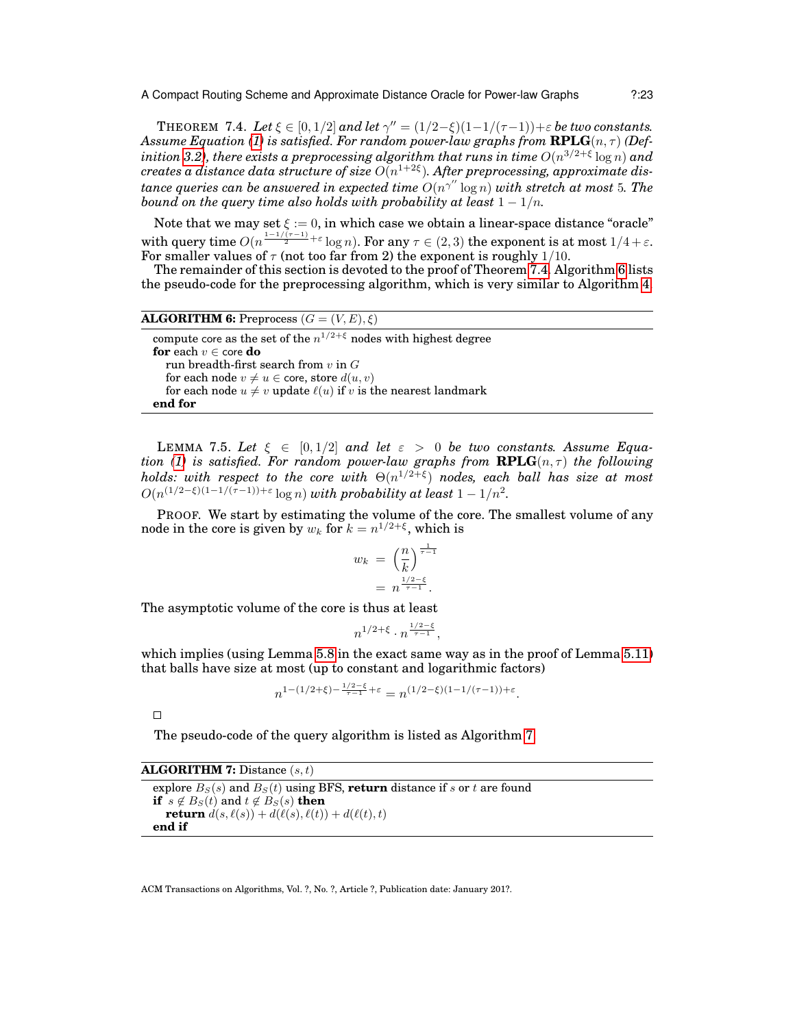THEOREM 7.4. Let  $\xi \in [0, 1/2]$  and let  $\gamma'' = (1/2 - \xi)(1 - 1/(\tau - 1)) + \varepsilon$  be two constants. *Assume Equation [\(1\)](#page-7-1) is satisfied. For random power-law graphs from*  $\mathbf{RPLG}(n, \tau)$  *(Def* $i$ *nition [3.2\)](#page-6-1), there exists a preprocessing algorithm that runs in time*  $O(n^{3/2+\xi}\log n)$  *and*  $\emph{creates a distance data structure of size } \emph{O}(n^{1+2 \xi}).$  After preprocessing, approximate dis $t$ ance queries can be answered in expected time  $O(n^{\gamma''}\log n)$  with stretch at most  $5.$  The *bound on the query time also holds with probability at least*  $1 - 1/n$ .

Note that we may set  $\xi := 0$ , in which case we obtain a linear-space distance "oracle" with query time  $O(n^{\frac{1-1/(\tau-1)}{2}+\varepsilon}\log n)$ . For any  $\tau\in(2,3)$  the exponent is at most  $1/4+\varepsilon$ . For smaller values of  $\tau$  (not too far from 2) the exponent is roughly 1/10.

The remainder of this section is devoted to the proof of Theorem [7.4.](#page-21-2) Algorithm [6](#page-8-5) lists the pseudo-code for the preprocessing algorithm, which is very similar to Algorithm [4.](#page-9-7)

**ALGORITHM 6:** Preprocess  $(G = (V, E), \xi)$ 

compute core as the set of the  $n^{1/2+\xi}$  nodes with highest degree **for** each  $v \in \text{core}$  **do** run breadth-first search from  $v$  in  $G$ for each node  $v \neq u \in$  core, store  $d(u, v)$ for each node  $u \neq v$  update  $\ell(u)$  if v is the nearest landmark **end for**

<span id="page-22-0"></span>LEMMA 7.5. Let  $\xi \in [0, 1/2]$  and let  $\varepsilon > 0$  be two constants. Assume Equa-*tion [\(1\)](#page-7-1) is satisfied. For random power-law graphs from*  $RPLG(n, \tau)$  *the following*  $holds: \ with \ respect \ to \ the \ core \ with \ \Theta(n^{1/2+\xi}) \ nodes, \ each \ ball \ has \ size \ at \ most$  $O(n^{(1/2-\xi)(1-1/(\tau-1))+\varepsilon}\log n)$  with probability at least  $1-1/n^2$ .

PROOF. We start by estimating the volume of the core. The smallest volume of any node in the core is given by  $w_k$  for  $k = n^{1/2 + \xi}$ , which is

$$
w_k = \left(\frac{n}{k}\right)^{\frac{1}{\tau - 1}}
$$

$$
= n^{\frac{1/2 - \xi}{\tau - 1}}.
$$

The asymptotic volume of the core is thus at least

$$
n^{1/2+\xi} \cdot n^{\frac{1/2-\xi}{\tau-1}},
$$

which implies (using Lemma [5.8](#page-12-1) in the exact same way as in the proof of Lemma [5.11\)](#page-13-1) that balls have size at most (up to constant and logarithmic factors)

$$
n^{1-(1/2+\xi)-\frac{1/2-\xi}{\tau-1}+\varepsilon} = n^{(1/2-\xi)(1-1/(\tau-1))+\varepsilon}.
$$

 $\Box$ 

The pseudo-code of the query algorithm is listed as Algorithm [7.](#page-8-6)

**ALGORITHM 7:** Distance (s, t)

<span id="page-22-1"></span>explore  $B<sub>S</sub>(s)$  and  $B<sub>S</sub>(t)$  using BFS, **return** distance if s or t are found **if**  $s \notin B_S(t)$  and  $t \notin B_S(s)$  **then return**  $d(s, \ell(s)) + d(\ell(s), \ell(t)) + d(\ell(t), t)$ **end if**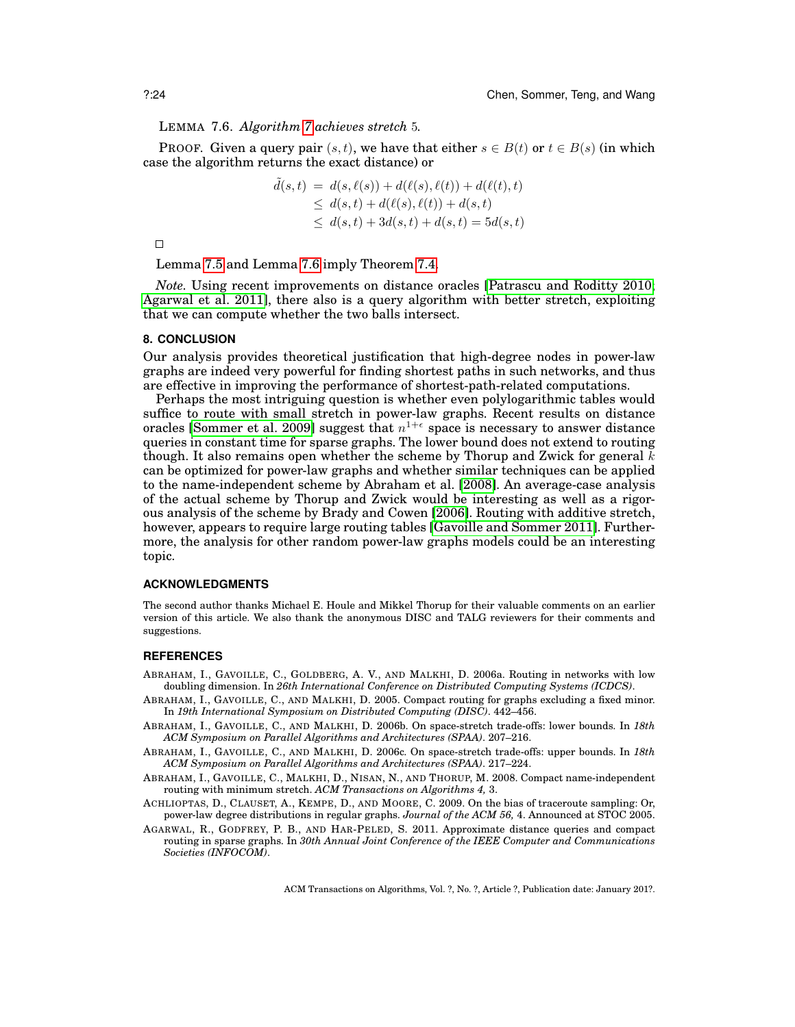LEMMA 7.6. *Algorithm [7](#page-8-6) achieves stretch* 5*.*

**PROOF.** Given a query pair  $(s, t)$ , we have that either  $s \in B(t)$  or  $t \in B(s)$  (in which case the algorithm returns the exact distance) or

$$
\tilde{d}(s,t) = d(s, \ell(s)) + d(\ell(s), \ell(t)) + d(\ell(t), t) \n\leq d(s,t) + d(\ell(s), \ell(t)) + d(s,t) \n\leq d(s,t) + 3d(s,t) + d(s,t) = 5d(s,t)
$$

 $\Box$ 

Lemma [7.5](#page-22-0) and Lemma [7.6](#page-22-1) imply Theorem [7.4.](#page-21-2)

*Note.* Using recent improvements on distance oracles [\[Patrascu and Roditty 2010;](#page-25-22) [Agarwal et al. 2011\]](#page-23-7), there also is a query algorithm with better stretch, exploiting that we can compute whether the two balls intersect.

## <span id="page-23-0"></span>**8. CONCLUSION**

Our analysis provides theoretical justification that high-degree nodes in power-law graphs are indeed very powerful for finding shortest paths in such networks, and thus are effective in improving the performance of shortest-path-related computations.

Perhaps the most intriguing question is whether even polylogarithmic tables would suffice to route with small stretch in power-law graphs. Recent results on distance oracles [\[Sommer et al. 2009\]](#page-25-23) suggest that  $n^{1+\epsilon}$  space is necessary to answer distance queries in constant time for sparse graphs. The lower bound does not extend to routing though. It also remains open whether the scheme by Thorup and Zwick for general  $k$ can be optimized for power-law graphs and whether similar techniques can be applied to the name-independent scheme by Abraham et al. [\[2008\]](#page-23-4). An average-case analysis of the actual scheme by Thorup and Zwick would be interesting as well as a rigorous analysis of the scheme by Brady and Cowen [\[2006\]](#page-24-8). Routing with additive stretch, however, appears to require large routing tables [\[Gavoille and Sommer 2011\]](#page-24-28). Furthermore, the analysis for other random power-law graphs models could be an interesting topic.

#### **ACKNOWLEDGMENTS**

The second author thanks Michael E. Houle and Mikkel Thorup for their valuable comments on an earlier version of this article. We also thank the anonymous DISC and TALG reviewers for their comments and suggestions.

#### **REFERENCES**

- <span id="page-23-6"></span>ABRAHAM, I., GAVOILLE, C., GOLDBERG, A. V., AND MALKHI, D. 2006a. Routing in networks with low doubling dimension. In *26th International Conference on Distributed Computing Systems (ICDCS)*.
- <span id="page-23-5"></span>ABRAHAM, I., GAVOILLE, C., AND MALKHI, D. 2005. Compact routing for graphs excluding a fixed minor. In *19th International Symposium on Distributed Computing (DISC)*. 442–456.
- <span id="page-23-2"></span>ABRAHAM, I., GAVOILLE, C., AND MALKHI, D. 2006b. On space-stretch trade-offs: lower bounds. In *18th ACM Symposium on Parallel Algorithms and Architectures (SPAA)*. 207–216.
- <span id="page-23-3"></span>ABRAHAM, I., GAVOILLE, C., AND MALKHI, D. 2006c. On space-stretch trade-offs: upper bounds. In *18th ACM Symposium on Parallel Algorithms and Architectures (SPAA)*. 217–224.
- <span id="page-23-4"></span>ABRAHAM, I., GAVOILLE, C., MALKHI, D., NISAN, N., AND THORUP, M. 2008. Compact name-independent routing with minimum stretch. *ACM Transactions on Algorithms 4,* 3.
- <span id="page-23-1"></span>ACHLIOPTAS, D., CLAUSET, A., KEMPE, D., AND MOORE, C. 2009. On the bias of traceroute sampling: Or, power-law degree distributions in regular graphs. *Journal of the ACM 56,* 4. Announced at STOC 2005.
- <span id="page-23-7"></span>AGARWAL, R., GODFREY, P. B., AND HAR-PELED, S. 2011. Approximate distance queries and compact routing in sparse graphs. In *30th Annual Joint Conference of the IEEE Computer and Communications Societies (INFOCOM)*.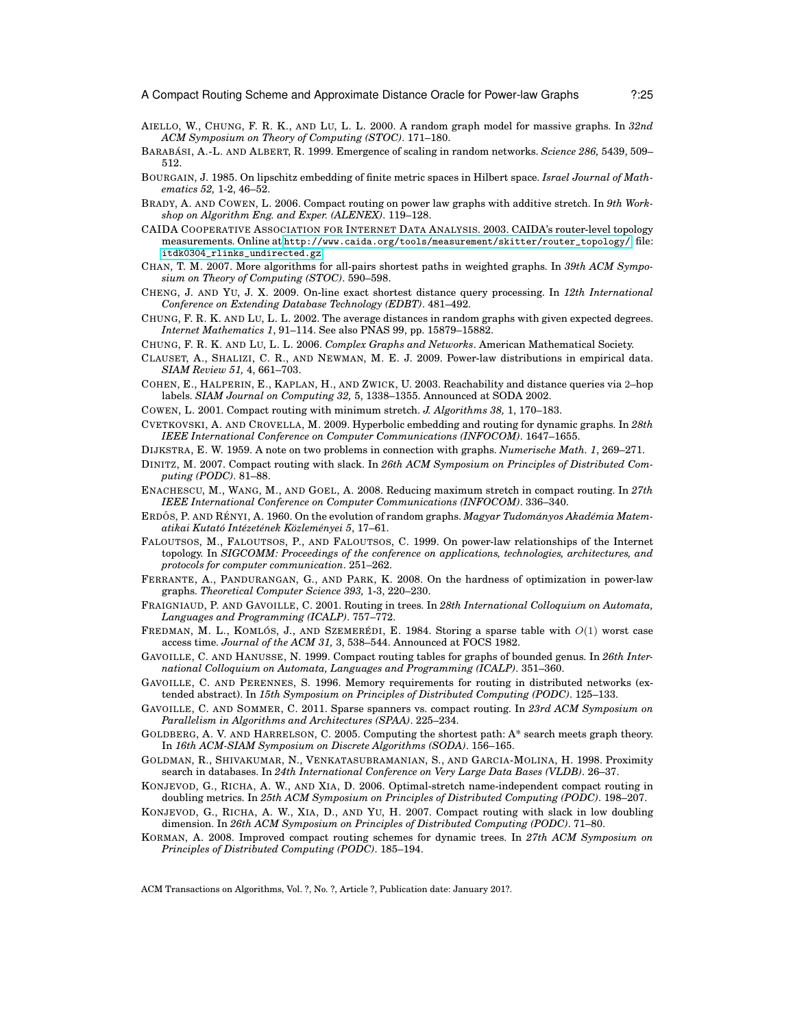- <span id="page-24-1"></span>AIELLO, W., CHUNG, F. R. K., AND LU, L. L. 2000. A random graph model for massive graphs. In *32nd ACM Symposium on Theory of Computing (STOC)*. 171–180.
- <span id="page-24-7"></span>BARABÁSI, A.-L. AND ALBERT, R. 1999. Emergence of scaling in random networks. *Science 286*, 5439, 509– 512.
- <span id="page-24-22"></span>BOURGAIN, J. 1985. On lipschitz embedding of finite metric spaces in Hilbert space. *Israel Journal of Mathematics 52,* 1-2, 46–52.
- <span id="page-24-8"></span>BRADY, A. AND COWEN, L. 2006. Compact routing on power law graphs with additive stretch. In *9th Workshop on Algorithm Eng. and Exper. (ALENEX)*. 119–128.
- <span id="page-24-26"></span>CAIDA COOPERATIVE ASSOCIATION FOR INTERNET DATA ANALYSIS. 2003. CAIDA's router-level topology measurements. Online at [http://www.caida.org/tools/measurement/skitter/router\\_topology/](http://www.caida.org/tools/measurement/skitter/router_topology/), file: [itdk0304\\_rlinks\\_undirected.gz](itdk0304_rlinks_undirected.gz).
- <span id="page-24-20"></span>CHAN, T. M. 2007. More algorithms for all-pairs shortest paths in weighted graphs. In *39th ACM Symposium on Theory of Computing (STOC)*. 590–598.
- <span id="page-24-23"></span>CHENG, J. AND YU, J. X. 2009. On-line exact shortest distance query processing. In *12th International Conference on Extending Database Technology (EDBT)*. 481–492.
- <span id="page-24-2"></span>CHUNG, F. R. K. AND LU, L. L. 2002. The average distances in random graphs with given expected degrees. *Internet Mathematics 1*, 91–114. See also PNAS 99, pp. 15879–15882.
- <span id="page-24-3"></span>CHUNG, F. R. K. AND LU, L. L. 2006. *Complex Graphs and Networks*. American Mathematical Society.
- <span id="page-24-4"></span>CLAUSET, A., SHALIZI, C. R., AND NEWMAN, M. E. J. 2009. Power-law distributions in empirical data. *SIAM Review 51,* 4, 661–703.
- <span id="page-24-24"></span>COHEN, E., HALPERIN, E., KAPLAN, H., AND ZWICK, U. 2003. Reachability and distance queries via 2–hop labels. *SIAM Journal on Computing 32,* 5, 1338–1355. Announced at SODA 2002.
- <span id="page-24-9"></span>COWEN, L. 2001. Compact routing with minimum stretch. *J. Algorithms 38,* 1, 170–183.
- <span id="page-24-17"></span>CVETKOVSKI, A. AND CROVELLA, M. 2009. Hyperbolic embedding and routing for dynamic graphs. In *28th IEEE International Conference on Computer Communications (INFOCOM)*. 1647–1655.
- <span id="page-24-19"></span>DIJKSTRA, E. W. 1959. A note on two problems in connection with graphs. *Numerische Math. 1*, 269–271.
- <span id="page-24-18"></span>DINITZ, M. 2007. Compact routing with slack. In *26th ACM Symposium on Principles of Distributed Computing (PODC)*. 81–88.
- <span id="page-24-15"></span>ENACHESCU, M., WANG, M., AND GOEL, A. 2008. Reducing maximum stretch in compact routing. In *27th IEEE International Conference on Computer Communications (INFOCOM)*. 336–340.
- <span id="page-24-16"></span>ERDŐS, P. AND RÉNYI, A. 1960. On the evolution of random graphs. *Magyar Tudományos Akadémia Matematikai Kutat´o Int´ezet´enek K¨ozlem´enyei 5*, 17–61.
- <span id="page-24-5"></span>FALOUTSOS, M., FALOUTSOS, P., AND FALOUTSOS, C. 1999. On power-law relationships of the Internet topology. In *SIGCOMM: Proceedings of the conference on applications, technologies, architectures, and protocols for computer communication*. 251–262.
- <span id="page-24-6"></span>FERRANTE, A., PANDURANGAN, G., AND PARK, K. 2008. On the hardness of optimization in power-law graphs. *Theoretical Computer Science 393,* 1-3, 220–230.
- <span id="page-24-10"></span>FRAIGNIAUD, P. AND GAVOILLE, C. 2001. Routing in trees. In *28th International Colloquium on Automata, Languages and Programming (ICALP)*. 757–772.
- <span id="page-24-27"></span>FREDMAN, M. L., KOMLÓS, J., AND SZEMERÉDI, E. 1984. Storing a sparse table with  $O(1)$  worst case access time. *Journal of the ACM 31,* 3, 538–544. Announced at FOCS 1982.
- <span id="page-24-12"></span>GAVOILLE, C. AND HANUSSE, N. 1999. Compact routing tables for graphs of bounded genus. In *26th International Colloquium on Automata, Languages and Programming (ICALP)*. 351–360.
- <span id="page-24-0"></span>GAVOILLE, C. AND PERENNES, S. 1996. Memory requirements for routing in distributed networks (extended abstract). In *15th Symposium on Principles of Distributed Computing (PODC)*. 125–133.
- <span id="page-24-28"></span>GAVOILLE, C. AND SOMMER, C. 2011. Sparse spanners vs. compact routing. In *23rd ACM Symposium on Parallelism in Algorithms and Architectures (SPAA)*. 225–234.
- <span id="page-24-21"></span>GOLDBERG, A. V. AND HARRELSON, C. 2005. Computing the shortest path: A\* search meets graph theory. In *16th ACM-SIAM Symposium on Discrete Algorithms (SODA)*. 156–165.
- <span id="page-24-25"></span>GOLDMAN, R., SHIVAKUMAR, N., VENKATASUBRAMANIAN, S., AND GARCIA-MOLINA, H. 1998. Proximity search in databases. In *24th International Conference on Very Large Data Bases (VLDB)*. 26–37.
- <span id="page-24-13"></span>KONJEVOD, G., RICHA, A. W., AND XIA, D. 2006. Optimal-stretch name-independent compact routing in doubling metrics. In *25th ACM Symposium on Principles of Distributed Computing (PODC)*. 198–207.
- <span id="page-24-14"></span>KONJEVOD, G., RICHA, A. W., XIA, D., AND YU, H. 2007. Compact routing with slack in low doubling dimension. In *26th ACM Symposium on Principles of Distributed Computing (PODC)*. 71–80.
- <span id="page-24-11"></span>KORMAN, A. 2008. Improved compact routing schemes for dynamic trees. In *27th ACM Symposium on Principles of Distributed Computing (PODC)*. 185–194.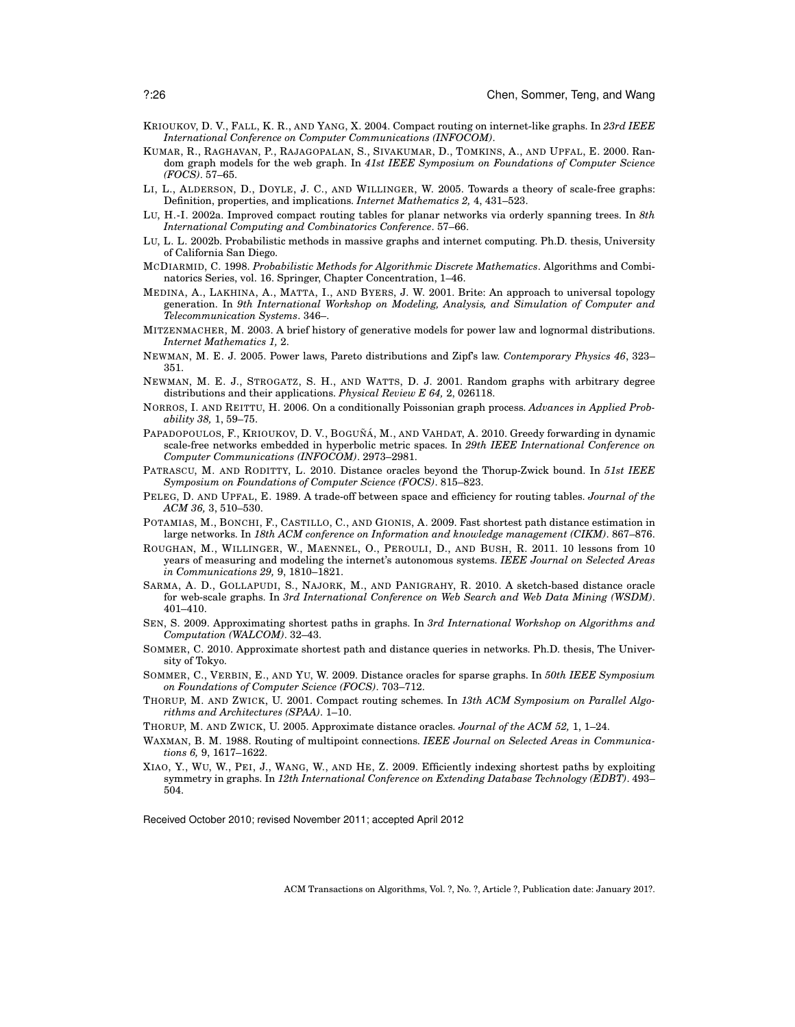- <span id="page-25-0"></span>KRIOUKOV, D. V., FALL, K. R., AND YANG, X. 2004. Compact routing on internet-like graphs. In *23rd IEEE International Conference on Computer Communications (INFOCOM)*.
- <span id="page-25-8"></span>KUMAR, R., RAGHAVAN, P., RAJAGOPALAN, S., SIVAKUMAR, D., TOMKINS, A., AND UPFAL, E. 2000. Random graph models for the web graph. In *41st IEEE Symposium on Foundations of Computer Science (FOCS)*. 57–65.
- <span id="page-25-17"></span>LI, L., ALDERSON, D., DOYLE, J. C., AND WILLINGER, W. 2005. Towards a theory of scale-free graphs: Definition, properties, and implications. *Internet Mathematics 2,* 4, 431–523.
- <span id="page-25-10"></span>LU, H.-I. 2002a. Improved compact routing tables for planar networks via orderly spanning trees. In *8th International Computing and Combinatorics Conference*. 57–66.
- <span id="page-25-2"></span>LU, L. L. 2002b. Probabilistic methods in massive graphs and internet computing. Ph.D. thesis, University of California San Diego.
- <span id="page-25-18"></span>MCDIARMID, C. 1998. *Probabilistic Methods for Algorithmic Discrete Mathematics*. Algorithms and Combinatorics Series, vol. 16. Springer, Chapter Concentration, 1–46.
- <span id="page-25-20"></span>MEDINA, A., LAKHINA, A., MATTA, I., AND BYERS, J. W. 2001. Brite: An approach to universal topology generation. In *9th International Workshop on Modeling, Analysis, and Simulation of Computer and Telecommunication Systems*. 346–.
- <span id="page-25-4"></span>MITZENMACHER, M. 2003. A brief history of generative models for power law and lognormal distributions. *Internet Mathematics 1,* 2.
- <span id="page-25-19"></span>NEWMAN, M. E. J. 2005. Power laws, Pareto distributions and Zipf's law. *Contemporary Physics 46*, 323– 351.
- <span id="page-25-6"></span>NEWMAN, M. E. J., STROGATZ, S. H., AND WATTS, D. J. 2001. Random graphs with arbitrary degree distributions and their applications. *Physical Review E 64,* 2, 026118.
- <span id="page-25-7"></span>NORROS, I. AND REITTU, H. 2006. On a conditionally Poissonian graph process. *Advances in Applied Probability 38,* 1, 59–75.
- <span id="page-25-11"></span>PAPADOPOULOS, F., KRIOUKOV, D. V., BOGUÑÁ, M., AND VAHDAT, A. 2010. Greedy forwarding in dynamic scale-free networks embedded in hyperbolic metric spaces. In *29th IEEE International Conference on Computer Communications (INFOCOM)*. 2973–2981.
- <span id="page-25-22"></span>PATRASCU, M. AND RODITTY, L. 2010. Distance oracles beyond the Thorup-Zwick bound. In *51st IEEE Symposium on Foundations of Computer Science (FOCS)*. 815–823.
- <span id="page-25-9"></span>PELEG, D. AND UPFAL, E. 1989. A trade-off between space and efficiency for routing tables. *Journal of the ACM 36,* 3, 510–530.
- <span id="page-25-14"></span>POTAMIAS, M., BONCHI, F., CASTILLO, C., AND GIONIS, A. 2009. Fast shortest path distance estimation in large networks. In *18th ACM conference on Information and knowledge management (CIKM)*. 867–876.
- <span id="page-25-5"></span>ROUGHAN, M., WILLINGER, W., MAENNEL, O., PEROULI, D., AND BUSH, R. 2011. 10 lessons from 10 years of measuring and modeling the internet's autonomous systems. *IEEE Journal on Selected Areas in Communications 29,* 9, 1810–1821.
- <span id="page-25-15"></span>SARMA, A. D., GOLLAPUDI, S., NAJORK, M., AND PANIGRAHY, R. 2010. A sketch-based distance oracle for web-scale graphs. In *3rd International Conference on Web Search and Web Data Mining (WSDM)*. 401–410.
- <span id="page-25-12"></span>SEN, S. 2009. Approximating shortest paths in graphs. In *3rd International Workshop on Algorithms and Computation (WALCOM)*. 32–43.
- <span id="page-25-13"></span>SOMMER, C. 2010. Approximate shortest path and distance queries in networks. Ph.D. thesis, The University of Tokyo.
- <span id="page-25-23"></span>SOMMER, C., VERBIN, E., AND YU, W. 2009. Distance oracles for sparse graphs. In *50th IEEE Symposium on Foundations of Computer Science (FOCS)*. 703–712.
- <span id="page-25-1"></span>THORUP, M. AND ZWICK, U. 2001. Compact routing schemes. In *13th ACM Symposium on Parallel Algorithms and Architectures (SPAA)*. 1–10.
- <span id="page-25-3"></span>THORUP, M. AND ZWICK, U. 2005. Approximate distance oracles. *Journal of the ACM 52,* 1, 1–24.
- <span id="page-25-21"></span>WAXMAN, B. M. 1988. Routing of multipoint connections. *IEEE Journal on Selected Areas in Communications 6,* 9, 1617–1622.
- <span id="page-25-16"></span>XIAO, Y., WU, W., PEI, J., WANG, W., AND HE, Z. 2009. Efficiently indexing shortest paths by exploiting symmetry in graphs. In *12th International Conference on Extending Database Technology (EDBT)*. 493– 504.

Received October 2010; revised November 2011; accepted April 2012